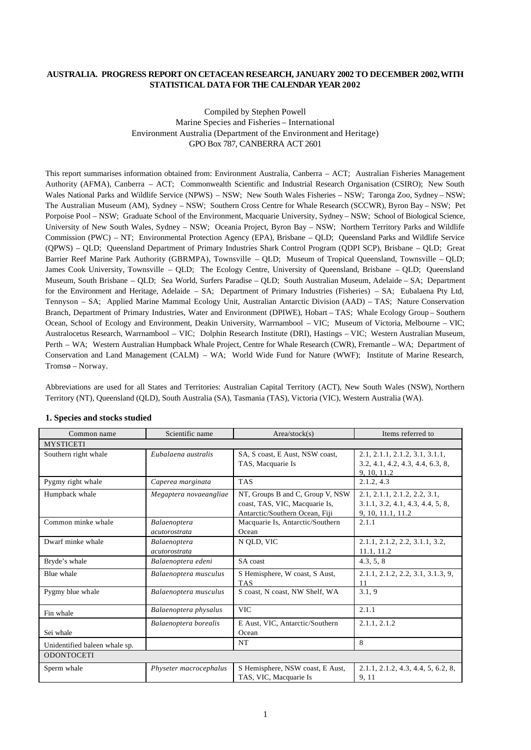#### **AUSTRALIA. PROGRESS REPORT ON CETACEAN RESEARCH, JANUARY 2002 TO DECEMBER 2002, WITH STATISTICAL DATA FOR THE CALENDAR YEAR 2002**

## Compiled by Stephen Powell Marine Species and Fisheries – International Environment Australia (Department of the Environment and Heritage) GPO Box 787, CANBERRA ACT 2601

This report summarises information obtained from: Environment Australia, Canberra – ACT; Australian Fisheries Management Authority (AFMA), Canberra – ACT; Commonwealth Scientific and Industrial Research Organisation (CSIRO); New South Wales National Parks and Wildlife Service (NPWS) – NSW; New South Wales Fisheries – NSW; Taronga Zoo, Sydney – NSW; The Australian Museum (AM), Sydney – NSW; Southern Cross Centre for Whale Research (SCCWR), Byron Bay – NSW; Pet Porpoise Pool – NSW; Graduate School of the Environment, Macquarie University, Sydney – NSW; School of Biological Science, University of New South Wales, Sydney – NSW; Oceania Project, Byron Bay – NSW; Northern Territory Parks and Wildlife Commission (PWC) – NT; Environmental Protection Agency (EPA), Brisbane – QLD; Queensland Parks and Wildlife Service (QPWS) – QLD; Queensland Department of Primary Industries Shark Control Program (QDPI SCP), Brisbane – QLD; Great Barrier Reef Marine Park Authority (GBRMPA), Townsville – QLD; Museum of Tropical Queensland, Townsville – QLD; James Cook University, Townsville – QLD; The Ecology Centre, University of Queensland, Brisbane – QLD; Queensland Museum, South Brisbane – QLD; Sea World, Surfers Paradise – QLD; South Australian Museum, Adelaide – SA; Department for the Environment and Heritage, Adelaide – SA; Department of Primary Industries (Fisheries) – SA; Eubalaena Pty Ltd, Tennyson – SA; Applied Marine Mammal Ecology Unit, Australian Antarctic Division (AAD) – TAS; Nature Conservation Branch, Department of Primary Industries, Water and Environment (DPIWE), Hobart – TAS; Whale Ecology Group – Southern Ocean, School of Ecology and Environment, Deakin University, Warrnambool – VIC; Museum of Victoria, Melbourne – VIC; Australocetus Research, Warrnambool – VIC; Dolphin Research Institute (DRI), Hastings – VIC; Western Australian Museum, Perth – WA; Western Australian Humpback Whale Project, Centre for Whale Research (CWR), Fremantle – WA; Department of Conservation and Land Management (CALM) – WA; World Wide Fund for Nature (WWF); Institute of Marine Research, Tromsø – Norway.

Abbreviations are used for all States and Territories: Australian Capital Territory (ACT), New South Wales (NSW), Northern Territory (NT), Queensland (QLD), South Australia (SA), Tasmania (TAS), Victoria (VIC), Western Australia (WA).

| Common name                   | Scientific name               | Area/stock(s)                                                                                        | Items referred to                                                                     |
|-------------------------------|-------------------------------|------------------------------------------------------------------------------------------------------|---------------------------------------------------------------------------------------|
| <b>MYSTICETI</b>              |                               |                                                                                                      |                                                                                       |
| Southern right whale          | Eubalaena australis           | SA, S coast, E Aust, NSW coast,<br>TAS, Macquarie Is                                                 | 2.1, 2.1.1, 2.1.2, 3.1, 3.1.1,<br>3.2, 4.1, 4.2, 4.3, 4.4, 6.3, 8,<br>9, 10, 11.2     |
| Pygmy right whale             | Caperea marginata             | <b>TAS</b>                                                                                           | 2.1.2, 4.3                                                                            |
| Humpback whale                | Megaptera novaeangliae        | NT, Groups B and C, Group V, NSW<br>coast, TAS, VIC, Macquarie Is,<br>Antarctic/Southern Ocean, Fiji | 2.1, 2.1.1, 2.1.2, 2.2, 3.1,<br>3.1.1, 3.2, 4.1, 4.3, 4.4, 5, 8,<br>9, 10, 11.1, 11.2 |
| Common minke whale            | Balaenoptera<br>acutorostrata | Macquarie Is, Antarctic/Southern<br>Ocean                                                            | 2.1.1                                                                                 |
| Dwarf minke whale             | Balaenoptera<br>acutorostrata | N QLD, VIC                                                                                           | 2.1.1, 2.1.2, 2.2, 3.1.1, 3.2,<br>11.1, 11.2                                          |
| Bryde's whale                 | Balaenoptera edeni            | SA coast                                                                                             | 4.3, 5, 8                                                                             |
| Blue whale                    | Balaenoptera musculus         | S Hemisphere, W coast, S Aust,<br><b>TAS</b>                                                         | 2.1.1, 2.1.2, 2.2, 3.1, 3.1.3, 9,<br>11                                               |
| Pygmy blue whale              | Balaenoptera musculus         | S coast, N coast, NW Shelf, WA                                                                       | 3.1, 9                                                                                |
| Fin whale                     | Balaenoptera physalus         | <b>VIC</b>                                                                                           | 2.1.1                                                                                 |
| Sei whale                     | Balaenoptera borealis         | E Aust, VIC, Antarctic/Southern<br>Ocean                                                             | 2.1.1, 2.1.2                                                                          |
| Unidentified baleen whale sp. |                               | NT                                                                                                   | 8                                                                                     |
| <b>ODONTOCETI</b>             |                               |                                                                                                      |                                                                                       |
| Sperm whale                   | Physeter macrocephalus        | S Hemisphere, NSW coast, E Aust,<br>TAS, VIC, Macquarie Is                                           | 2.1.1, 2.1.2, 4.3, 4.4, 5, 6.2, 8,<br>9, 11                                           |

#### **1. Species and stocks studied**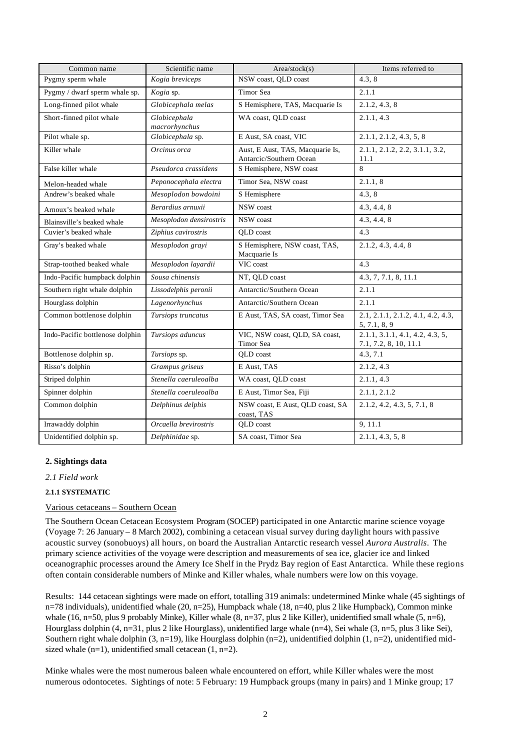| Common name                     | Scientific name               | Area/stock(s)                                               | Items referred to                                        |
|---------------------------------|-------------------------------|-------------------------------------------------------------|----------------------------------------------------------|
| Pygmy sperm whale               | Kogia breviceps               | NSW coast, QLD coast                                        | 4.3.8                                                    |
| Pygmy / dwarf sperm whale sp.   | Kogia sp.                     | Timor Sea                                                   | 2.1.1                                                    |
| Long-finned pilot whale         | Globicephala melas            | S Hemisphere, TAS, Macquarie Is                             | 2.1.2, 4.3, 8                                            |
| Short-finned pilot whale        | Globicephala<br>macrorhynchus | WA coast, QLD coast                                         | 2.1.1, 4.3                                               |
| Pilot whale sp.                 | Globicephala sp.              | E Aust, SA coast, VIC                                       | 2.1.1, 2.1.2, 4.3, 5, 8                                  |
| Killer whale                    | Orcinus orca                  | Aust, E Aust, TAS, Macquarie Is,<br>Antarcic/Southern Ocean | 2.1.1, 2.1.2, 2.2, 3.1.1, 3.2,<br>11.1                   |
| False killer whale              | Pseudorca crassidens          | S Hemisphere, NSW coast                                     | 8                                                        |
| Melon-headed whale              | Peponocephala electra         | Timor Sea, NSW coast                                        | 2.1.1, 8                                                 |
| Andrew's beaked whale           | Mesoplodon bowdoini           | S Hemisphere                                                | 4.3.8                                                    |
| Arnoux's beaked whale           | Berardius arnuxii             | NSW coast                                                   | 4.3, 4.4, 8                                              |
| Blainsville's beaked whale      | Mesoplodon densirostris       | NSW coast                                                   | 4.3, 4.4, 8                                              |
| Cuvier's beaked whale           | Ziphius cavirostris           | OLD coast                                                   | 4.3                                                      |
| Gray's beaked whale             | Mesoplodon grayi              | S Hemisphere, NSW coast, TAS,<br>Macquarie Is               | 2.1.2, 4.3, 4.4, 8                                       |
| Strap-toothed beaked whale      | Mesoplodon layardii           | VIC coast                                                   | 4.3                                                      |
| Indo-Pacific humpback dolphin   | Sousa chinensis               | NT, QLD coast                                               | 4.3, 7, 7.1, 8, 11.1                                     |
| Southern right whale dolphin    | Lissodelphis peronii          | Antarctic/Southern Ocean                                    | 2.1.1                                                    |
| Hourglass dolphin               | Lagenorhynchus                | Antarctic/Southern Ocean                                    | 2.1.1                                                    |
| Common bottlenose dolphin       | Tursiops truncatus            | E Aust, TAS, SA coast, Timor Sea                            | 2.1, 2.1.1, 2.1.2, 4.1, 4.2, 4.3,<br>5, 7.1, 8, 9        |
| Indo-Pacific bottlenose dolphin | Tursiops aduncus              | VIC, NSW coast, QLD, SA coast,<br>Timor Sea                 | 2.1.1, 3.1.1, 4.1, 4.2, 4.3, 5,<br>7.1, 7.2, 8, 10, 11.1 |
| Bottlenose dolphin sp.          | Tursiops sp.                  | OLD coast                                                   | 4.3, 7.1                                                 |
| Risso's dolphin                 | Grampus griseus               | E Aust, TAS                                                 | 2.1.2, 4.3                                               |
| Striped dolphin                 | Stenella caeruleoalba         | WA coast, OLD coast                                         | 2.1.1, 4.3                                               |
| Spinner dolphin                 | Stenella coeruleoalba         | E Aust, Timor Sea, Fiji                                     | 2.1.1, 2.1.2                                             |
| Common dolphin                  | Delphinus delphis             | NSW coast, E Aust, QLD coast, SA<br>coast, TAS              | 2.1.2, 4.2, 4.3, 5, 7.1, 8                               |
| Irrawaddy dolphin               | Orcaella brevirostris         | QLD coast                                                   | 9, 11.1                                                  |
| Unidentified dolphin sp.        | Delphinidae sp.               | SA coast. Timor Sea                                         | 2.1.1, 4.3, 5, 8                                         |

## **2. Sightings data**

*2.1 Field work*

## **2.1.1 SYSTEMATIC**

## Various cetaceans – Southern Ocean

The Southern Ocean Cetacean Ecosystem Program (SOCEP) participated in one Antarctic marine science voyage (Voyage 7: 26 January – 8 March 2002), combining a cetacean visual survey during daylight hours with passive acoustic survey (sonobuoys) all hours, on board the Australian Antarctic research vessel *Aurora Australis*. The primary science activities of the voyage were description and measurements of sea ice, glacier ice and linked oceanographic processes around the Amery Ice Shelf in the Prydz Bay region of East Antarctica. While these regions often contain considerable numbers of Minke and Killer whales, whale numbers were low on this voyage.

Results: 144 cetacean sightings were made on effort, totalling 319 animals: undetermined Minke whale (45 sightings of n=78 individuals), unidentified whale (20, n=25), Humpback whale (18, n=40, plus 2 like Humpback), Common minke whale (16, n=50, plus 9 probably Minke), Killer whale  $(8, n=37, p$ lus 2 like Killer), unidentified small whale  $(5, n=6)$ , Hourglass dolphin (4, n=31, plus 2 like Hourglass), unidentified large whale (n=4), Sei whale (3, n=5, plus 3 like Sei), Southern right whale dolphin  $(3, n=19)$ , like Hourglass dolphin  $(n=2)$ , unidentified dolphin  $(1, n=2)$ , unidentified midsized whale  $(n=1)$ , unidentified small cetacean  $(1, n=2)$ .

Minke whales were the most numerous baleen whale encountered on effort, while Killer whales were the most numerous odontocetes. Sightings of note: 5 February: 19 Humpback groups (many in pairs) and 1 Minke group; 17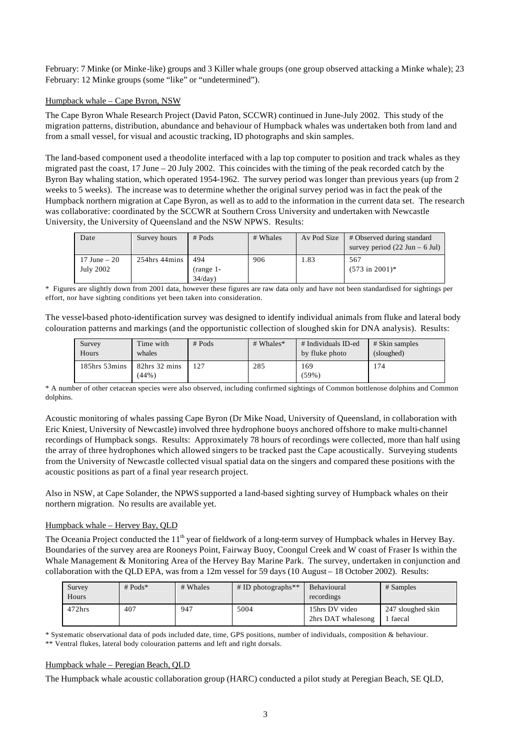February: 7 Minke (or Minke-like) groups and 3 Killer whale groups (one group observed attacking a Minke whale); 23 February: 12 Minke groups (some "like" or "undetermined").

## Humpback whale – Cape Byron, NSW

The Cape Byron Whale Research Project (David Paton, SCCWR) continued in June-July 2002. This study of the migration patterns, distribution, abundance and behaviour of Humpback whales was undertaken both from land and from a small vessel, for visual and acoustic tracking, ID photographs and skin samples.

The land-based component used a theodolite interfaced with a lap top computer to position and track whales as they migrated past the coast, 17 June – 20 July 2002. This coincides with the timing of the peak recorded catch by the Byron Bay whaling station, which operated 1954-1962. The survey period was longer than previous years (up from 2 weeks to 5 weeks). The increase was to determine whether the original survey period was in fact the peak of the Humpback northern migration at Cape Byron, as well as to add to the information in the current data set. The research was collaborative: coordinated by the SCCWR at Southern Cross University and undertaken with Newcastle University, the University of Queensland and the NSW NPWS. Results:

| Date                         | Survey hours  | $#$ Pods                      | # Whales | Av Pod Size | # Observed during standard<br>survey period $(22 \text{ Jun} - 6 \text{ Jul})$ |
|------------------------------|---------------|-------------------------------|----------|-------------|--------------------------------------------------------------------------------|
| $17$ June $-20$<br>July 2002 | 254hrs 44mins | 494<br>$(range-1-$<br>34/day) | 906      | 1.83        | 567<br>$(573 \text{ in } 2001)^*$                                              |

\* Figures are slightly down from 2001 data, however these figures are raw data only and have not been standardised for sightings per effort, nor have sighting conditions yet been taken into consideration.

The vessel-based photo-identification survey was designed to identify individual animals from fluke and lateral body colouration patterns and markings (and the opportunistic collection of sloughed skin for DNA analysis). Results:

| Survey<br>Hours     | Time with<br>whales    | $#$ Pods | # Whales* | # Individuals ID-ed<br>by fluke photo | # Skin samples<br>(sloughed) |
|---------------------|------------------------|----------|-----------|---------------------------------------|------------------------------|
| $185$ hrs $53$ mins | 82hrs 32 mins<br>(44%) |          | 285       | 169<br>(59%)                          | 174                          |

\* A number of other cetacean species were also observed, including confirmed sightings of Common bottlenose dolphins and Common dolphins.

Acoustic monitoring of whales passing Cape Byron (Dr Mike Noad, University of Queensland, in collaboration with Eric Kniest, University of Newcastle) involved three hydrophone buoys anchored offshore to make multi-channel recordings of Humpback songs. Results: Approximately 78 hours of recordings were collected, more than half using the array of three hydrophones which allowed singers to be tracked past the Cape acoustically. Surveying students from the University of Newcastle collected visual spatial data on the singers and compared these positions with the acoustic positions as part of a final year research project.

Also in NSW, at Cape Solander, the NPWS supported a land-based sighting survey of Humpback whales on their northern migration. No results are available yet.

## Humpback whale – Hervey Bay, QLD

The Oceania Project conducted the 11<sup>th</sup> year of fieldwork of a long-term survey of Humpback whales in Hervey Bay. Boundaries of the survey area are Rooneys Point, Fairway Buoy, Coongul Creek and W coast of Fraser Is within the Whale Management & Monitoring Area of the Hervey Bay Marine Park. The survey, undertaken in conjunction and collaboration with the QLD EPA, was from a 12m vessel for 59 days (10 August – 18 October 2002). Results:

| Survey<br>Hours | # $Pods*$ | # Whales | $\#$ ID photographs <sup>**</sup> | Behavioural<br>recordings            | # Samples                   |
|-----------------|-----------|----------|-----------------------------------|--------------------------------------|-----------------------------|
| $472$ hrs       | 407       | 947      | 5004                              | 15hrs DV video<br>2hrs DAT whalesong | 247 sloughed skin<br>faecal |

\* Systematic observational data of pods included date, time, GPS positions, number of individuals, composition & behaviour.

\*\* Ventral flukes, lateral body colouration patterns and left and right dorsals.

## Humpback whale – Peregian Beach, QLD

The Humpback whale acoustic collaboration group (HARC) conducted a pilot study at Peregian Beach, SE QLD,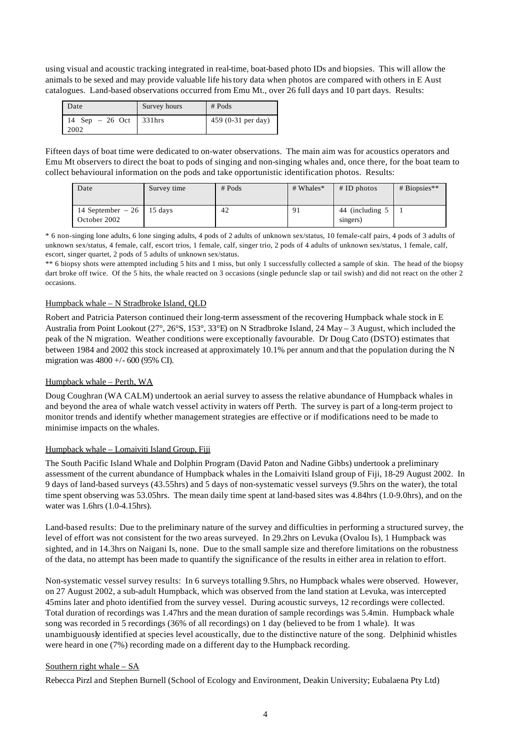using visual and acoustic tracking integrated in real-time, boat-based photo IDs and biopsies. This will allow the animals to be sexed and may provide valuable life history data when photos are compared with others in E Aust catalogues. Land-based observations occurred from Emu Mt., over 26 full days and 10 part days. Results:

| Date                     | Survey hours | $#$ Pods             |
|--------------------------|--------------|----------------------|
| 14 Sep $-26$ Oct<br>2002 | 331hrs       | 459 $(0-31$ per day) |

Fifteen days of boat time were dedicated to on-water observations. The main aim was for acoustics operators and Emu Mt observers to direct the boat to pods of singing and non-singing whales and, once there, for the boat team to collect behavioural information on the pods and take opportunistic identification photos. Results:

| Date                                         | Survey time | $#$ Pods | # Whales* | $#$ ID photos               | $# \tBiopsis**$ |
|----------------------------------------------|-------------|----------|-----------|-----------------------------|-----------------|
| 14 September $-26$   15 days<br>October 2002 |             | 42       | 91        | 44 (including 5<br>singers) |                 |

\* 6 non-singing lone adults, 6 lone singing adults, 4 pods of 2 adults of unknown sex/status, 10 female-calf pairs, 4 pods of 3 adults of unknown sex/status, 4 female, calf, escort trios, 1 female, calf, singer trio, 2 pods of 4 adults of unknown sex/status, 1 female, calf, escort, singer quartet, 2 pods of 5 adults of unknown sex/status.

\*\* 6 biopsy shots were attempted including 5 hits and 1 miss, but only 1 successfully collected a sample of skin. The head of the biopsy dart broke off twice. Of the 5 hits, the whale reacted on 3 occasions (single peduncle slap or tail swish) and did not react on the other 2 occasions.

## Humpback whale – N Stradbroke Island, QLD

Robert and Patricia Paterson continued their long-term assessment of the recovering Humpback whale stock in E Australia from Point Lookout (27°, 26°S, 153°, 33°E) on N Stradbroke Island, 24 May – 3 August, which included the peak of the N migration. Weather conditions were exceptionally favourable. Dr Doug Cato (DSTO) estimates that between 1984 and 2002 this stock increased at approximately 10.1% per annum and that the population during the N migration was 4800 +/- 600 (95% CI).

## Humpback whale – Perth, WA

Doug Coughran (WA CALM) undertook an aerial survey to assess the relative abundance of Humpback whales in and beyond the area of whale watch vessel activity in waters off Perth. The survey is part of a long-term project to monitor trends and identify whether management strategies are effective or if modifications need to be made to minimise impacts on the whales.

## Humpback whale – Lomaiviti Island Group, Fiji

The South Pacific Island Whale and Dolphin Program (David Paton and Nadine Gibbs) undertook a preliminary assessment of the current abundance of Humpback whales in the Lomaiviti Island group of Fiji, 18-29 August 2002. In 9 days of land-based surveys (43.55hrs) and 5 days of non-systematic vessel surveys (9.5hrs on the water), the total time spent observing was 53.05hrs. The mean daily time spent at land-based sites was 4.84hrs (1.0-9.0hrs), and on the water was 1.6hrs (1.0-4.15hrs).

Land-based results: Due to the preliminary nature of the survey and difficulties in performing a structured survey, the level of effort was not consistent for the two areas surveyed. In 29.2hrs on Levuka (Ovalou Is), 1 Humpback was sighted, and in 14.3hrs on Naigani Is, none. Due to the small sample size and therefore limitations on the robustness of the data, no attempt has been made to quantify the significance of the results in either area in relation to effort.

Non-systematic vessel survey results: In 6 surveys totalling 9.5hrs, no Humpback whales were observed. However, on 27 August 2002, a sub-adult Humpback, which was observed from the land station at Levuka, was intercepted 45mins later and photo identified from the survey vessel. During acoustic surveys, 12 recordings were collected. Total duration of recordings was 1.47hrs and the mean duration of sample recordings was 5.4min. Humpback whale song was recorded in 5 recordings (36% of all recordings) on 1 day (believed to be from 1 whale). It was unambiguously identified at species level acoustically, due to the distinctive nature of the song. Delphinid whistles were heard in one (7%) recording made on a different day to the Humpback recording.

## Southern right whale – SA

Rebecca Pirzl and Stephen Burnell (School of Ecology and Environment, Deakin University; Eubalaena Pty Ltd)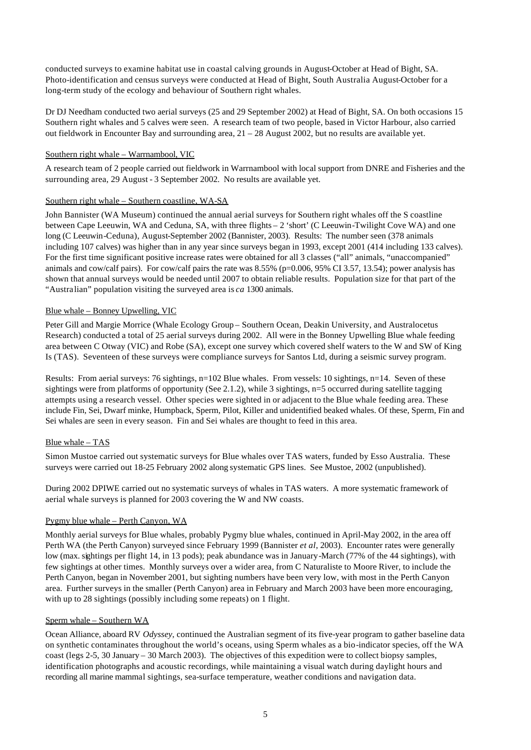conducted surveys to examine habitat use in coastal calving grounds in August-October at Head of Bight, SA. Photo-identification and census surveys were conducted at Head of Bight, South Australia August-October for a long-term study of the ecology and behaviour of Southern right whales.

Dr DJ Needham conducted two aerial surveys (25 and 29 September 2002) at Head of Bight, SA. On both occasions 15 Southern right whales and 5 calves were seen. A research team of two people, based in Victor Harbour, also carried out fieldwork in Encounter Bay and surrounding area, 21 – 28 August 2002, but no results are available yet.

## Southern right whale – Warrnambool, VIC

A research team of 2 people carried out fieldwork in Warrnambool with local support from DNRE and Fisheries and the surrounding area, 29 August - 3 September 2002. No results are available yet.

## Southern right whale – Southern coastline, WA-SA

John Bannister (WA Museum) continued the annual aerial surveys for Southern right whales off the S coastline between Cape Leeuwin, WA and Ceduna, SA, with three flights – 2 'short' (C Leeuwin-Twilight Cove WA) and one long (C Leeuwin-Ceduna), August-September 2002 (Bannister, 2003). Results: The number seen (378 animals including 107 calves) was higher than in any year since surveys began in 1993, except 2001 (414 including 133 calves). For the first time significant positive increase rates were obtained for all 3 classes ("all" animals, "unaccompanied" animals and cow/calf pairs). For cow/calf pairs the rate was 8.55% (p=0.006, 95% CI 3.57, 13.54); power analysis has shown that annual surveys would be needed until 2007 to obtain reliable results. Population size for that part of the "Australian" population visiting the surveyed area is *ca* 1300 animals.

## Blue whale – Bonney Upwelling, VIC

Peter Gill and Margie Morrice (Whale Ecology Group – Southern Ocean, Deakin University, and Australocetus Research) conducted a total of 25 aerial surveys during 2002. All were in the Bonney Upwelling Blue whale feeding area between C Otway (VIC) and Robe (SA), except one survey which covered shelf waters to the W and SW of King Is (TAS). Seventeen of these surveys were compliance surveys for Santos Ltd, during a seismic survey program.

Results: From aerial surveys: 76 sightings, n=102 Blue whales. From vessels: 10 sightings, n=14. Seven of these sightings were from platforms of opportunity (See 2.1.2), while 3 sightings, n=5 occurred during satellite tagging attempts using a research vessel. Other species were sighted in or adjacent to the Blue whale feeding area. These include Fin, Sei, Dwarf minke, Humpback, Sperm, Pilot, Killer and unidentified beaked whales. Of these, Sperm, Fin and Sei whales are seen in every season. Fin and Sei whales are thought to feed in this area.

## Blue whale – TAS

Simon Mustoe carried out systematic surveys for Blue whales over TAS waters, funded by Esso Australia. These surveys were carried out 18-25 February 2002 along systematic GPS lines. See Mustoe, 2002 (unpublished).

During 2002 DPIWE carried out no systematic surveys of whales in TAS waters. A more systematic framework of aerial whale surveys is planned for 2003 covering the W and NW coasts.

## Pygmy blue whale – Perth Canyon, WA

Monthly aerial surveys for Blue whales, probably Pygmy blue whales, continued in April-May 2002, in the area off Perth WA (the Perth Canyon) surveyed since February 1999 (Bannister *et al*, 2003). Encounter rates were generally low (max. sightings per flight 14, in 13 pods); peak abundance was in January-March (77% of the 44 sightings), with few sightings at other times. Monthly surveys over a wider area, from C Naturaliste to Moore River, to include the Perth Canyon, began in November 2001, but sighting numbers have been very low, with most in the Perth Canyon area. Further surveys in the smaller (Perth Canyon) area in February and March 2003 have been more encouraging, with up to 28 sightings (possibly including some repeats) on 1 flight.

## Sperm whale – Southern WA

Ocean Alliance, aboard RV *Odyssey*, continued the Australian segment of its five-year program to gather baseline data on synthetic contaminates throughout the world's oceans, using Sperm whales as a bio-indicator species, off the WA coast (legs 2-5, 30 January – 30 March 2003). The objectives of this expedition were to collect biopsy samples, identification photographs and acoustic recordings, while maintaining a visual watch during daylight hours and recording all marine mammal sightings, sea-surface temperature, weather conditions and navigation data.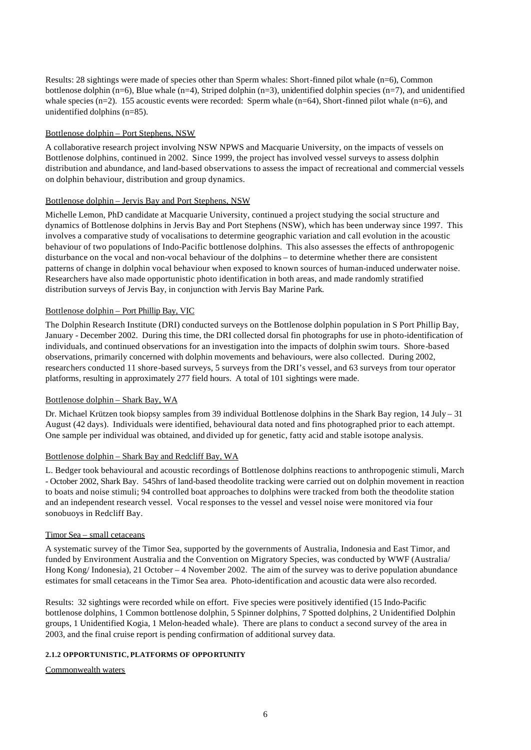Results: 28 sightings were made of species other than Sperm whales: Short-finned pilot whale (n=6), Common bottlenose dolphin (n=6), Blue whale (n=4), Striped dolphin (n=3), unidentified dolphin species (n=7), and unidentified whale species  $(n=2)$ . 155 acoustic events were recorded: Sperm whale  $(n=64)$ , Short-finned pilot whale  $(n=6)$ , and unidentified dolphins (n=85).

## Bottlenose dolphin – Port Stephens, NSW

A collaborative research project involving NSW NPWS and Macquarie University, on the impacts of vessels on Bottlenose dolphins, continued in 2002. Since 1999, the project has involved vessel surveys to assess dolphin distribution and abundance, and land-based observations to assess the impact of recreational and commercial vessels on dolphin behaviour, distribution and group dynamics.

## Bottlenose dolphin – Jervis Bay and Port Stephens, NSW

Michelle Lemon, PhD candidate at Macquarie University, continued a project studying the social structure and dynamics of Bottlenose dolphins in Jervis Bay and Port Stephens (NSW), which has been underway since 1997. This involves a comparative study of vocalisations to determine geographic variation and call evolution in the acoustic behaviour of two populations of Indo-Pacific bottlenose dolphins. This also assesses the effects of anthropogenic disturbance on the vocal and non-vocal behaviour of the dolphins – to determine whether there are consistent patterns of change in dolphin vocal behaviour when exposed to known sources of human-induced underwater noise. Researchers have also made opportunistic photo identification in both areas, and made randomly stratified distribution surveys of Jervis Bay, in conjunction with Jervis Bay Marine Park.

## Bottlenose dolphin – Port Phillip Bay, VIC

The Dolphin Research Institute (DRI) conducted surveys on the Bottlenose dolphin population in S Port Phillip Bay, January - December 2002. During this time, the DRI collected dorsal fin photographs for use in photo-identification of individuals, and continued observations for an investigation into the impacts of dolphin swim tours. Shore-based observations, primarily concerned with dolphin movements and behaviours, were also collected. During 2002, researchers conducted 11 shore-based surveys, 5 surveys from the DRI's vessel, and 63 surveys from tour operator platforms, resulting in approximately 277 field hours. A total of 101 sightings were made.

## Bottlenose dolphin – Shark Bay, WA

Dr. Michael Krützen took biopsy samples from 39 individual Bottlenose dolphins in the Shark Bay region, 14 July – 31 August (42 days). Individuals were identified, behavioural data noted and fins photographed prior to each attempt. One sample per individual was obtained, and divided up for genetic, fatty acid and stable isotope analysis.

## Bottlenose dolphin – Shark Bay and Redcliff Bay, WA

L. Bedger took behavioural and acoustic recordings of Bottlenose dolphins reactions to anthropogenic stimuli, March - October 2002, Shark Bay. 545hrs of land-based theodolite tracking were carried out on dolphin movement in reaction to boats and noise stimuli; 94 controlled boat approaches to dolphins were tracked from both the theodolite station and an independent research vessel. Vocal responses to the vessel and vessel noise were monitored via four sonobuoys in Redcliff Bay.

## Timor Sea – small cetaceans

A systematic survey of the Timor Sea, supported by the governments of Australia, Indonesia and East Timor, and funded by Environment Australia and the Convention on Migratory Species, was conducted by WWF (Australia/ Hong Kong/ Indonesia), 21 October – 4 November 2002. The aim of the survey was to derive population abundance estimates for small cetaceans in the Timor Sea area. Photo-identification and acoustic data were also recorded.

Results: 32 sightings were recorded while on effort. Five species were positively identified (15 Indo-Pacific bottlenose dolphins, 1 Common bottlenose dolphin, 5 Spinner dolphins, 7 Spotted dolphins, 2 Unidentified Dolphin groups, 1 Unidentified Kogia, 1 Melon-headed whale). There are plans to conduct a second survey of the area in 2003, and the final cruise report is pending confirmation of additional survey data.

## **2.1.2 OPPORTUNISTIC, PLATFORMS OF OPPORTUNITY**

## Commonwealth waters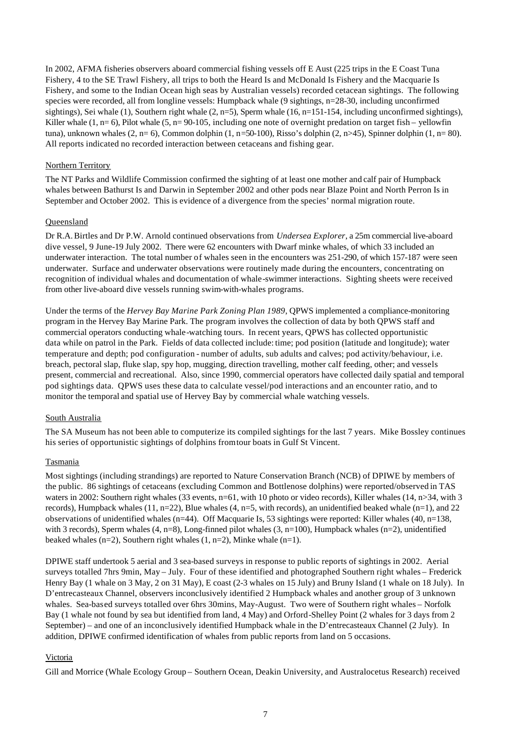In 2002, AFMA fisheries observers aboard commercial fishing vessels off E Aust (225 trips in the E Coast Tuna Fishery, 4 to the SE Trawl Fishery, all trips to both the Heard Is and McDonald Is Fishery and the Macquarie Is Fishery, and some to the Indian Ocean high seas by Australian vessels) recorded cetacean sightings. The following species were recorded, all from longline vessels: Humpback whale (9 sightings, n=28-30, including unconfirmed sightings), Sei whale (1), Southern right whale (2, n=5), Sperm whale (16, n=151-154, including unconfirmed sightings), Killer whale  $(1, n=6)$ , Pilot whale  $(5, n=90-105)$ , including one note of overnight predation on target fish – yellowfin tuna), unknown whales  $(2, n=6)$ , Common dolphin  $(1, n=50-100)$ , Risso's dolphin  $(2, n>45)$ , Spinner dolphin  $(1, n=80)$ . All reports indicated no recorded interaction between cetaceans and fishing gear.

#### Northern Territory

The NT Parks and Wildlife Commission confirmed the sighting of at least one mother and calf pair of Humpback whales between Bathurst Is and Darwin in September 2002 and other pods near Blaze Point and North Perron Is in September and October 2002. This is evidence of a divergence from the species' normal migration route.

#### Queensland

Dr R.A. Birtles and Dr P.W. Arnold continued observations from *Undersea Explorer*, a 25m commercial live-aboard dive vessel, 9 June-19 July 2002. There were 62 encounters with Dwarf minke whales, of which 33 included an underwater interaction. The total number of whales seen in the encounters was 251-290, of which 157-187 were seen underwater. Surface and underwater observations were routinely made during the encounters, concentrating on recognition of individual whales and documentation of whale-swimmer interactions. Sighting sheets were received from other live-aboard dive vessels running swim-with-whales programs.

Under the terms of the *Hervey Bay Marine Park Zoning Plan 1989*, QPWS implemented a compliance-monitoring program in the Hervey Bay Marine Park. The program involves the collection of data by both QPWS staff and commercial operators conducting whale-watching tours. In recent years, QPWS has collected opportunistic data while on patrol in the Park. Fields of data collected include: time; pod position (latitude and longitude); water temperature and depth; pod configuration - number of adults, sub adults and calves; pod activity/behaviour, i.e. breach, pectoral slap, fluke slap, spy hop, mugging, direction travelling, mother calf feeding, other; and vessels present, commercial and recreational. Also, since 1990, commercial operators have collected daily spatial and temporal pod sightings data. QPWS uses these data to calculate vessel/pod interactions and an encounter ratio, and to monitor the temporal and spatial use of Hervey Bay by commercial whale watching vessels.

#### South Australia

The SA Museum has not been able to computerize its compiled sightings for the last 7 years. Mike Bossley continues his series of opportunistic sightings of dolphins from tour boats in Gulf St Vincent.

#### Tasmania

Most sightings (including strandings) are reported to Nature Conservation Branch (NCB) of DPIWE by members of the public. 86 sightings of cetaceans (excluding Common and Bottlenose dolphins) were reported/observed in TAS waters in 2002: Southern right whales (33 events, n=61, with 10 photo or video records), Killer whales (14, n>34, with 3 records), Humpback whales (11, n=22), Blue whales (4, n=5, with records), an unidentified beaked whale (n=1), and 22 observations of unidentified whales (n=44). Off Macquarie Is, 53 sightings were reported: Killer whales (40, n=138, with 3 records), Sperm whales  $(4, n=8)$ , Long-finned pilot whales  $(3, n=100)$ , Humpback whales  $(n=2)$ , unidentified beaked whales (n=2), Southern right whales  $(1, n=2)$ , Minke whale  $(n=1)$ .

DPIWE staff undertook 5 aerial and 3 sea-based surveys in response to public reports of sightings in 2002. Aerial surveys totalled 7hrs 9min, May – July. Four of these identified and photographed Southern right whales – Frederick Henry Bay (1 whale on 3 May, 2 on 31 May), E coast (2-3 whales on 15 July) and Bruny Island (1 whale on 18 July). In D'entrecasteaux Channel, observers inconclusively identified 2 Humpback whales and another group of 3 unknown whales. Sea-based surveys totalled over 6hrs 30mins, May-August. Two were of Southern right whales – Norfolk Bay (1 whale not found by sea but identified from land, 4 May) and Orford-Shelley Point (2 whales for 3 days from 2 September) – and one of an inconclusively identified Humpback whale in the D'entrecasteaux Channel (2 July). In addition, DPIWE confirmed identification of whales from public reports from land on 5 occasions.

#### Victoria

Gill and Morrice (Whale Ecology Group – Southern Ocean, Deakin University, and Australocetus Research) received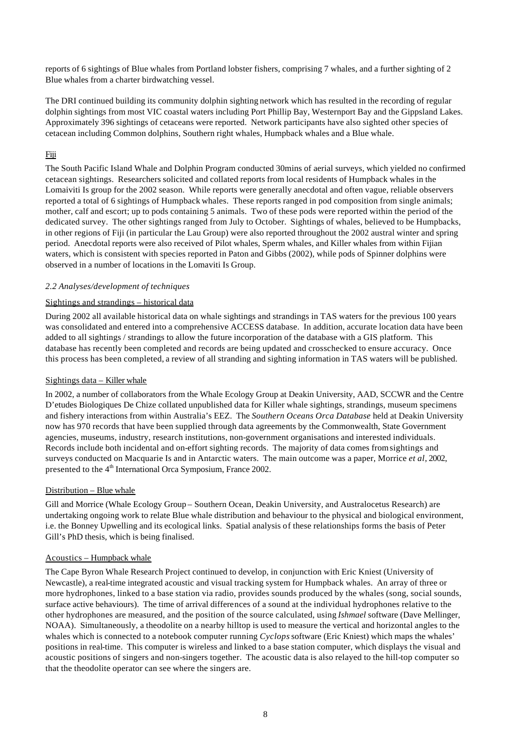reports of 6 sightings of Blue whales from Portland lobster fishers, comprising 7 whales, and a further sighting of 2 Blue whales from a charter birdwatching vessel.

The DRI continued building its community dolphin sighting network which has resulted in the recording of regular dolphin sightings from most VIC coastal waters including Port Phillip Bay, Westernport Bay and the Gippsland Lakes. Approximately 396 sightings of cetaceans were reported. Network participants have also sighted other species of cetacean including Common dolphins, Southern right whales, Humpback whales and a Blue whale.

# Fiji

The South Pacific Island Whale and Dolphin Program conducted 30mins of aerial surveys, which yielded no confirmed cetacean sightings. Researchers solicited and collated reports from local residents of Humpback whales in the Lomaiviti Is group for the 2002 season. While reports were generally anecdotal and often vague, reliable observers reported a total of 6 sightings of Humpback whales. These reports ranged in pod composition from single animals; mother, calf and escort; up to pods containing 5 animals. Two of these pods were reported within the period of the dedicated survey. The other sightings ranged from July to October. Sightings of whales, believed to be Humpbacks, in other regions of Fiji (in particular the Lau Group) were also reported throughout the 2002 austral winter and spring period. Anecdotal reports were also received of Pilot whales, Sperm whales, and Killer whales from within Fijian waters, which is consistent with species reported in Paton and Gibbs (2002), while pods of Spinner dolphins were observed in a number of locations in the Lomaviti Is Group.

## *2.2 Analyses/development of techniques*

## Sightings and strandings – historical data

During 2002 all available historical data on whale sightings and strandings in TAS waters for the previous 100 years was consolidated and entered into a comprehensive ACCESS database. In addition, accurate location data have been added to all sightings / strandings to allow the future incorporation of the database with a GIS platform. This database has recently been completed and records are being updated and crosschecked to ensure accuracy. Once this process has been completed, a review of all stranding and sighting information in TAS waters will be published.

## Sightings data – Killer whale

In 2002, a number of collaborators from the Whale Ecology Group at Deakin University, AAD, SCCWR and the Centre D'etudes Biologiques De Chize collated unpublished data for Killer whale sightings, strandings, museum specimens and fishery interactions from within Australia's EEZ. The *Southern Oceans Orca Database* held at Deakin University now has 970 records that have been supplied through data agreements by the Commonwealth, State Government agencies, museums, industry, research institutions, non-government organisations and interested individuals. Records include both incidental and on-effort sighting records. The majority of data comes from sightings and surveys conducted on Macquarie Is and in Antarctic waters. The main outcome was a paper, Morrice *et al*, 2002, presented to the 4<sup>th</sup> International Orca Symposium, France 2002.

## Distribution – Blue whale

Gill and Morrice (Whale Ecology Group – Southern Ocean, Deakin University, and Australocetus Research) are undertaking ongoing work to relate Blue whale distribution and behaviour to the physical and biological environment, i.e. the Bonney Upwelling and its ecological links. Spatial analysis of these relationships forms the basis of Peter Gill's PhD thesis, which is being finalised.

## Acoustics – Humpback whale

The Cape Byron Whale Research Project continued to develop, in conjunction with Eric Kniest (University of Newcastle), a real-time integrated acoustic and visual tracking system for Humpback whales. An array of three or more hydrophones, linked to a base station via radio, provides sounds produced by the whales (song, social sounds, surface active behaviours). The time of arrival differences of a sound at the individual hydrophones relative to the other hydrophones are measured, and the position of the source calculated, using *Ishmael* software (Dave Mellinger, NOAA). Simultaneously, a theodolite on a nearby hilltop is used to measure the vertical and horizontal angles to the whales which is connected to a notebook computer running *Cyclops* software (Eric Kniest) which maps the whales' positions in real-time. This computer is wireless and linked to a base station computer, which displays the visual and acoustic positions of singers and non-singers together. The acoustic data is also relayed to the hill-top computer so that the theodolite operator can see where the singers are.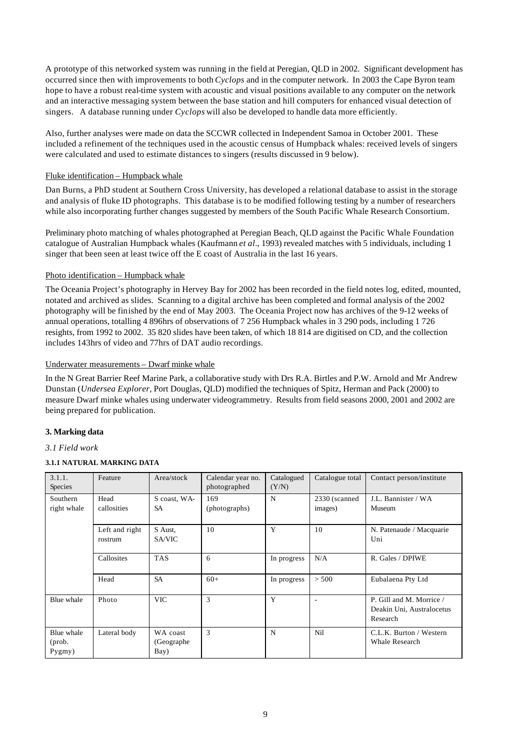A prototype of this networked system was running in the field at Peregian, QLD in 2002. Significant development has occurred since then with improvements to both *Cyclops* and in the computer network. In 2003 the Cape Byron team hope to have a robust real-time system with acoustic and visual positions available to any computer on the network and an interactive messaging system between the base station and hill computers for enhanced visual detection of singers. A database running under *Cyclops* will also be developed to handle data more efficiently.

Also, further analyses were made on data the SCCWR collected in Independent Samoa in October 2001. These included a refinement of the techniques used in the acoustic census of Humpback whales: received levels of singers were calculated and used to estimate distances to singers (results discussed in 9 below).

## Fluke identification – Humpback whale

Dan Burns, a PhD student at Southern Cross University, has developed a relational database to assist in the storage and analysis of fluke ID photographs. This database is to be modified following testing by a number of researchers while also incorporating further changes suggested by members of the South Pacific Whale Research Consortium.

Preliminary photo matching of whales photographed at Peregian Beach, QLD against the Pacific Whale Foundation catalogue of Australian Humpback whales (Kaufmann *et al*., 1993) revealed matches with 5 individuals, including 1 singer that been seen at least twice off the E coast of Australia in the last 16 years.

## Photo identification – Humpback whale

The Oceania Project's photography in Hervey Bay for 2002 has been recorded in the field notes log, edited, mounted, notated and archived as slides. Scanning to a digital archive has been completed and formal analysis of the 2002 photography will be finished by the end of May 2003. The Oceania Project now has archives of the 9-12 weeks of annual operations, totalling 4 896hrs of observations of 7 256 Humpback whales in 3 290 pods, including 1 726 resights, from 1992 to 2002. 35 820 slides have been taken, of which 18 814 are digitised on CD, and the collection includes 143hrs of video and 77hrs of DAT audio recordings.

## Underwater measurements – Dwarf minke whale

In the N Great Barrier Reef Marine Park, a collaborative study with Drs R.A. Birtles and P.W. Arnold and Mr Andrew Dunstan (*Undersea Explorer*, Port Douglas, QLD) modified the techniques of Spitz, Herman and Pack (2000) to measure Dwarf minke whales using underwater videogrammetry. Results from field seasons 2000, 2001 and 2002 are being prepared for publication.

## **3. Marking data**

## *3.1 Field work*

# **3.1.1 NATURAL MARKING DATA**

| 3.1.1.<br>Species              | Feature                   | Area/stock                      | Calendar year no.<br>photographed | Catalogued<br>(Y/N) | Catalogue total          | Contact person/institute                                          |
|--------------------------------|---------------------------|---------------------------------|-----------------------------------|---------------------|--------------------------|-------------------------------------------------------------------|
| Southern<br>right whale        | Head<br>callosities       | S coast, WA-<br><b>SA</b>       | 169<br>(photographs)              | N                   | 2330 (scanned<br>images) | J.L. Bannister / WA<br>Museum                                     |
|                                | Left and right<br>rostrum | S Aust,<br>SA/VIC               | 10                                | Y                   | 10                       | N. Patenaude / Macquarie<br>Uni                                   |
|                                | Callosites                | <b>TAS</b>                      | 6                                 | In progress         | N/A                      | R. Gales / DPIWE                                                  |
|                                | Head                      | <b>SA</b>                       | $60+$                             | In progress         | > 500                    | Eubalaena Pty Ltd                                                 |
| Blue whale                     | Photo                     | <b>VIC</b>                      | 3                                 | Y                   | ٠                        | P. Gill and M. Morrice /<br>Deakin Uni, Australocetus<br>Research |
| Blue whale<br>(prob.<br>Pygmy) | Lateral body              | WA coast<br>(Geographe)<br>Bay) | 3                                 | N                   | Nil                      | C.L.K. Burton / Western<br><b>Whale Research</b>                  |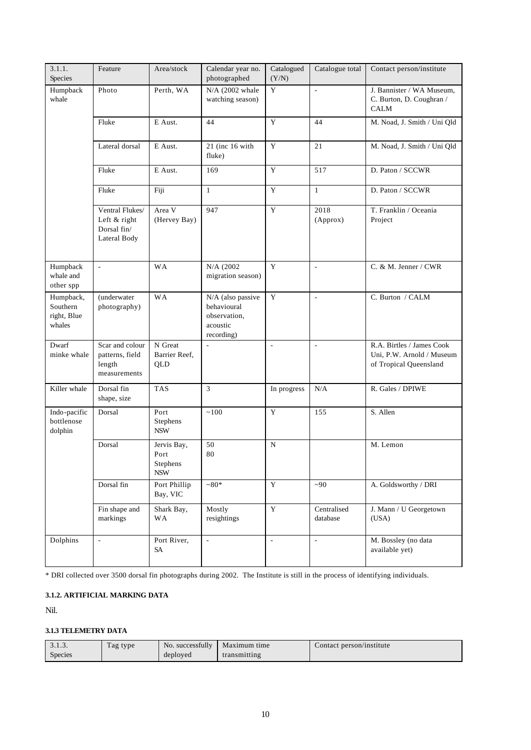| 3.1.1.<br>Species                              | Feature                                                        | Area/stock                                    | Calendar year no.<br>photographed                                          | Catalogued<br>(Y/N) | Catalogue total          | Contact person/institute                                                         |
|------------------------------------------------|----------------------------------------------------------------|-----------------------------------------------|----------------------------------------------------------------------------|---------------------|--------------------------|----------------------------------------------------------------------------------|
| Humpback<br>whale                              | Photo                                                          | Perth, WA                                     | $N/A$ (2002 whale<br>watching season)                                      | Y                   | $\overline{\phantom{a}}$ | J. Bannister / WA Museum,<br>C. Burton, D. Coughran /<br><b>CALM</b>             |
|                                                | Fluke                                                          | E Aust.                                       | 44                                                                         | Y                   | 44                       | M. Noad, J. Smith / Uni Qld                                                      |
|                                                | Lateral dorsal                                                 | E Aust.                                       | 21 (inc 16 with<br>fluke)                                                  | $\mathbf Y$         | 21                       | M. Noad, J. Smith / Uni Qld                                                      |
|                                                | Fluke                                                          | E Aust.                                       | 169                                                                        | Y                   | 517                      | D. Paton / SCCWR                                                                 |
|                                                | Fluke                                                          | Fiji                                          | $\mathbf{1}$                                                               | Y                   | $\mathbf{1}$             | D. Paton / SCCWR                                                                 |
|                                                | Ventral Flukes/<br>Left & right<br>Dorsal fin/<br>Lateral Body | Area V<br>(Hervey Bay)                        | 947                                                                        | $\overline{Y}$      | 2018<br>(Approx)         | T. Franklin / Oceania<br>Project                                                 |
| Humpback<br>whale and<br>other spp             | $\overline{\phantom{a}}$                                       | <b>WA</b>                                     | N/A (2002)<br>migration season)                                            | Y                   | ÷,                       | C. & M. Jenner / CWR                                                             |
| Humpback,<br>Southern<br>right, Blue<br>whales | (underwater<br>photography)                                    | <b>WA</b>                                     | N/A (also passive<br>behavioural<br>observation,<br>acoustic<br>recording) | Y                   | $\blacksquare$           | C. Burton / CALM                                                                 |
| Dwarf<br>minke whale                           | Scar and colour<br>patterns, field<br>length<br>measurements   | N Great<br>Barrier Reef,<br>QLD               | $\sim$                                                                     | ÷,                  | ÷,                       | R.A. Birtles / James Cook<br>Uni, P.W. Arnold / Museum<br>of Tropical Queensland |
| Killer whale                                   | Dorsal fin<br>shape, size                                      | <b>TAS</b>                                    | 3                                                                          | In progress         | N/A                      | R. Gales / DPIWE                                                                 |
| Indo-pacific<br>bottlenose<br>dolphin          | Dorsal                                                         | Port<br>Stephens<br><b>NSW</b>                | $\sim\!100$                                                                | Y                   | 155                      | S. Allen                                                                         |
|                                                | Dorsal                                                         | Jervis Bay,<br>Port<br>Stephens<br><b>NSW</b> | 50<br>80                                                                   | $\mathbf N$         |                          | M. Lemon                                                                         |
|                                                | Dorsal fin                                                     | Port Phillip<br>Bay, VIC                      | $~180*$                                                                    | $\mathbf Y$         | ~1                       | A. Goldsworthy / DRI                                                             |
|                                                | Fin shape and<br>markings                                      | Shark Bay,<br>WA                              | Mostly<br>resightings                                                      | $\mathbf Y$         | Centralised<br>database  | J. Mann / U Georgetown<br>(USA)                                                  |
| Dolphins                                       | $\omega$                                                       | Port River,<br>SA                             | $\overline{\phantom{a}}$                                                   | $\blacksquare$      | $\bar{\phantom{a}}$      | M. Bossley (no data<br>available yet)                                            |

\* DRI collected over 3500 dorsal fin photographs during 2002. The Institute is still in the process of identifying individuals.

#### **3.1.2. ARTIFICIAL MARKING DATA**

Nil.

## **3.1.3 TELEMETRY DATA**

| 3.1.3.         | $\mathbf{r}$<br>f ag type | No. successfully | Maximum time | Contact person/institute |
|----------------|---------------------------|------------------|--------------|--------------------------|
| <b>Species</b> |                           | deployed         | transmitting |                          |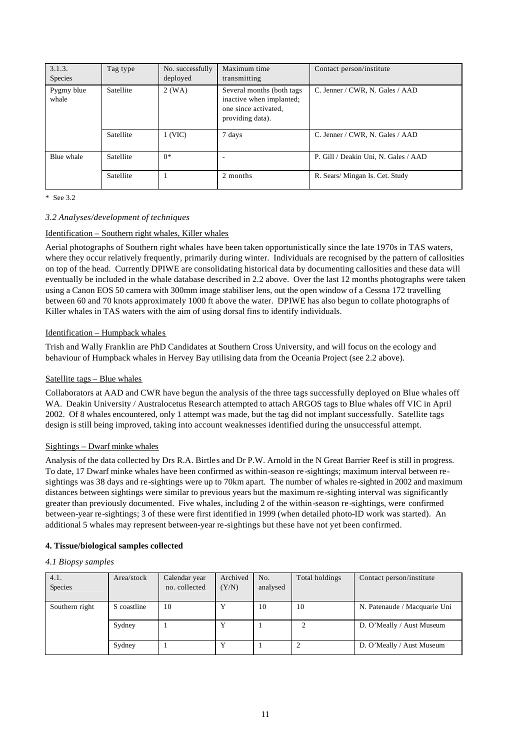| 3.1.3.<br>Species   | Tag type  | No. successfully<br>deployed | Maximum time<br>transmitting                                                                      | Contact person/institute             |
|---------------------|-----------|------------------------------|---------------------------------------------------------------------------------------------------|--------------------------------------|
| Pygmy blue<br>whale | Satellite | $2$ (WA)                     | Several months (both tags<br>inactive when implanted;<br>one since activated,<br>providing data). | C. Jenner / CWR, N. Gales / AAD      |
|                     | Satellite | 1 (VIC)                      | 7 days                                                                                            | C. Jenner / CWR, N. Gales / AAD      |
| Blue whale          | Satellite | $0*$                         |                                                                                                   | P. Gill / Deakin Uni, N. Gales / AAD |
|                     | Satellite |                              | 2 months                                                                                          | R. Sears/ Mingan Is. Cet. Study      |

\* See 3.2

## *3.2 Analyses/development of techniques*

## Identification – Southern right whales, Killer whales

Aerial photographs of Southern right whales have been taken opportunistically since the late 1970s in TAS waters, where they occur relatively frequently, primarily during winter. Individuals are recognised by the pattern of callosities on top of the head. Currently DPIWE are consolidating historical data by documenting callosities and these data will eventually be included in the whale database described in 2.2 above. Over the last 12 months photographs were taken using a Canon EOS 50 camera with 300mm image stabiliser lens, out the open window of a Cessna 172 travelling between 60 and 70 knots approximately 1000 ft above the water. DPIWE has also begun to collate photographs of Killer whales in TAS waters with the aim of using dorsal fins to identify individuals.

## Identification – Humpback whales

Trish and Wally Franklin are PhD Candidates at Southern Cross University, and will focus on the ecology and behaviour of Humpback whales in Hervey Bay utilising data from the Oceania Project (see 2.2 above).

## Satellite tags – Blue whales

Collaborators at AAD and CWR have begun the analysis of the three tags successfully deployed on Blue whales off WA. Deakin University / Australocetus Research attempted to attach ARGOS tags to Blue whales off VIC in April 2002. Of 8 whales encountered, only 1 attempt was made, but the tag did not implant successfully. Satellite tags design is still being improved, taking into account weaknesses identified during the unsuccessful attempt.

## Sightings – Dwarf minke whales

Analysis of the data collected by Drs R.A. Birtles and Dr P.W. Arnold in the N Great Barrier Reef is still in progress. To date, 17 Dwarf minke whales have been confirmed as within-season re-sightings; maximum interval between resightings was 38 days and re-sightings were up to 70km apart. The number of whales re-sighted in 2002 and maximum distances between sightings were similar to previous years but the maximum re-sighting interval was significantly greater than previously documented. Five whales, including 2 of the within-season re-sightings, were confirmed between-year re-sightings; 3 of these were first identified in 1999 (when detailed photo-ID work was started). An additional 5 whales may represent between-year re-sightings but these have not yet been confirmed.

## **4. Tissue/biological samples collected**

## *4.1 Biopsy samples*

| 4.1.<br>Species | Area/stock  | Calendar year<br>no. collected | Archived<br>(Y/N) | No.<br>analysed | Total holdings | Contact person/institute     |
|-----------------|-------------|--------------------------------|-------------------|-----------------|----------------|------------------------------|
| Southern right  | S coastline | 10                             |                   | 10              | 10             | N. Patenaude / Macquarie Uni |
|                 | Sydney      |                                |                   |                 |                | D. O'Meally / Aust Museum    |
|                 | Sydney      |                                |                   |                 |                | D. O'Meally / Aust Museum    |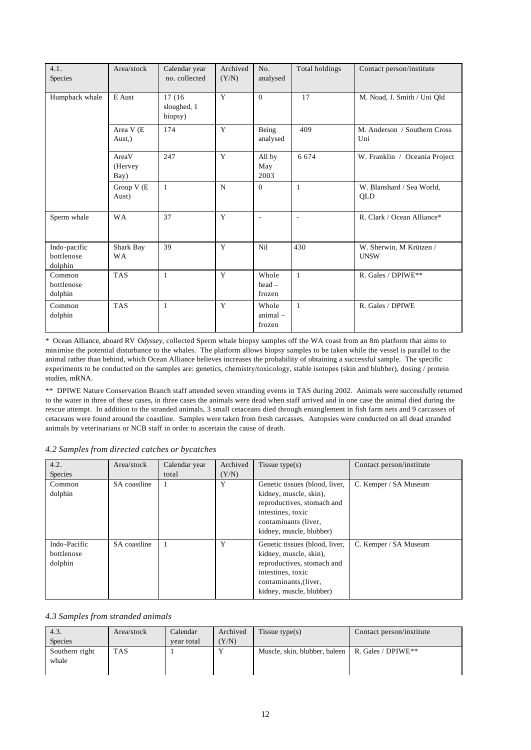| 4.1.<br>Species                       | Area/stock                       | Calendar year<br>no. collected    | Archived<br>(Y/N) | No.<br>analysed               | Total holdings | Contact person/institute                |
|---------------------------------------|----------------------------------|-----------------------------------|-------------------|-------------------------------|----------------|-----------------------------------------|
| Humpback whale                        | E Aust                           | 17 (16)<br>sloughed, 1<br>biopsy) | Y                 | $\theta$                      | 17             | M. Noad, J. Smith / Uni Qld             |
|                                       | Area V (E<br>Aust <sub>,</sub> ) | 174                               | Y                 | Being<br>analysed             | 409            | M. Anderson / Southern Cross<br>Uni     |
|                                       | AreaV<br>(Hervey)<br>Bay)        | 247                               | Y                 | All by<br>May<br>2003         | 6 6 7 4        | W. Franklin / Oceania Project           |
|                                       | Group V (E<br>Aust)              | $\mathbf{1}$                      | N                 | $\Omega$                      | $\mathbf{1}$   | W. Blanshard / Sea World,<br><b>OLD</b> |
| Sperm whale                           | <b>WA</b>                        | 37                                | Y                 | $\overline{\phantom{a}}$      | $\sim$         | R. Clark / Ocean Alliance*              |
| Indo-pacific<br>bottlenose<br>dolphin | Shark Bay<br><b>WA</b>           | 39                                | Y                 | Nil                           | 430            | W. Sherwin, M Krützen /<br><b>UNSW</b>  |
| Common<br>bottlenose<br>dolphin       | <b>TAS</b>                       | $\mathbf{1}$                      | Y                 | Whole<br>$head -$<br>frozen   | $\mathbf{1}$   | R. Gales / DPIWE**                      |
| Common<br>dolphin                     | <b>TAS</b>                       | 1                                 | Y                 | Whole<br>$animal -$<br>frozen | $\mathbf{1}$   | R. Gales / DPIWE                        |

\* Ocean Alliance, aboard RV *Odyssey*, collected Sperm whale biopsy samples off the WA coast from an 8m platform that aims to minimise the potential disturbance to the whales. The platform allows biopsy samples to be taken while the vessel is parallel to the animal rather than behind, which Ocean Alliance believes increases the probability of obtaining a successful sample. The specific experiments to be conducted on the samples are: genetics, chemistry/toxicology, stable isotopes (skin and blubber), dosing / protein studies, mRNA.

\*\* DPIWE Nature Conservation Branch staff attended seven stranding events in TAS during 2002. Animals were successfully returned to the water in three of these cases, in three cases the animals were dead when staff arrived and in one case the animal died during the rescue attempt. In addition to the stranded animals, 3 small cetaceans died through entanglement in fish farm nets and 9 carcasses of cetaceans were found around the coastline. Samples were taken from fresh carcasses. Autopsies were conducted on all dead stranded animals by veterinarians or NCB staff in order to ascertain the cause of death.

| 4.2.<br>Species                       | Area/stock   | Calendar year<br>total | Archived<br>(Y/N) | Tissue type $(s)$                                                                                                                                                | Contact person/institute |
|---------------------------------------|--------------|------------------------|-------------------|------------------------------------------------------------------------------------------------------------------------------------------------------------------|--------------------------|
| Common<br>dolphin                     | SA coastline |                        | Y                 | Genetic tissues (blood, liver,<br>kidney, muscle, skin),<br>reproductives, stomach and<br>intestines, toxic<br>contaminants (liver,<br>kidney, muscle, blubber)  | C. Kemper / SA Museum    |
| Indo-Pacific<br>bottlenose<br>dolphin | SA coastline |                        | Y                 | Genetic tissues (blood, liver,<br>kidney, muscle, skin),<br>reproductives, stomach and<br>intestines, toxic<br>contaminants, (liver,<br>kidney, muscle, blubber) | C. Kemper / SA Museum    |

#### *4.2 Samples from directed catches or bycatches*

#### *4.3 Samples from stranded animals*

| 4.3.           | Area/stock | Calendar   | Archived | Tissue type $(s)$                                              | Contact person/institute |
|----------------|------------|------------|----------|----------------------------------------------------------------|--------------------------|
| <b>Species</b> |            | vear total | Y/N      |                                                                |                          |
| Southern right | <b>TAS</b> |            |          | Muscle, skin, blubber, baleen   R. Gales / DPIWE <sup>**</sup> |                          |
| whale          |            |            |          |                                                                |                          |
|                |            |            |          |                                                                |                          |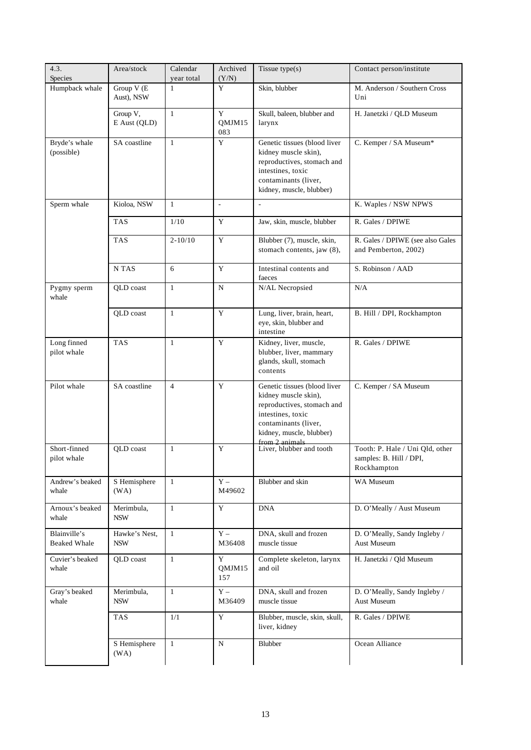| 4.3.<br>Species                     | Area/stock                  | Calendar<br>year total | Archived<br>(Y/N)            | Tissue $type(s)$                                                                                                                                                              | Contact person/institute                                                  |
|-------------------------------------|-----------------------------|------------------------|------------------------------|-------------------------------------------------------------------------------------------------------------------------------------------------------------------------------|---------------------------------------------------------------------------|
| Humpback whale                      | Group $V(E)$<br>Aust), NSW  | $\mathbf{1}$           | Y                            | Skin, blubber                                                                                                                                                                 | M. Anderson / Southern Cross<br>Uni                                       |
|                                     | Group V,<br>E Aust (QLD)    | $\mathbf{1}$           | Y<br>QMJM15<br>083           | Skull, baleen, blubber and<br>larynx                                                                                                                                          | H. Janetzki / QLD Museum                                                  |
| Bryde's whale<br>(possible)         | SA coastline                | $\mathbf{1}$           | $\mathbf Y$                  | Genetic tissues (blood liver<br>kidney muscle skin),<br>reproductives, stomach and<br>intestines, toxic<br>contaminants (liver,<br>kidney, muscle, blubber)                   | C. Kemper / SA Museum*                                                    |
| Sperm whale                         | Kioloa, NSW                 | $\mathbf{1}$           | $\overline{\phantom{a}}$     | $\overline{a}$                                                                                                                                                                | K. Waples / NSW NPWS                                                      |
|                                     | <b>TAS</b>                  | 1/10                   | Y                            | Jaw, skin, muscle, blubber                                                                                                                                                    | R. Gales / DPIWE                                                          |
|                                     | <b>TAS</b>                  | $2 - 10/10$            | Y                            | Blubber (7), muscle, skin,<br>stomach contents, jaw (8),                                                                                                                      | R. Gales / DPIWE (see also Gales<br>and Pemberton, 2002)                  |
|                                     | N TAS                       | 6                      | Y                            | Intestinal contents and<br>faeces                                                                                                                                             | S. Robinson / AAD                                                         |
| Pygmy sperm<br>whale                | QLD coast                   | $\mathbf{1}$           | ${\bf N}$                    | N/AL Necropsied                                                                                                                                                               | N/A                                                                       |
|                                     | QLD coast                   | $\mathbf{1}$           | Y                            | Lung, liver, brain, heart,<br>eye, skin, blubber and<br>intestine                                                                                                             | B. Hill / DPI, Rockhampton                                                |
| Long finned<br>pilot whale          | <b>TAS</b>                  | $\mathbf{1}$           | Y                            | Kidney, liver, muscle,<br>blubber, liver, mammary<br>glands, skull, stomach<br>contents                                                                                       | R. Gales / DPIWE                                                          |
| Pilot whale                         | SA coastline                | $\overline{4}$         | Y                            | Genetic tissues (blood liver<br>kidney muscle skin),<br>reproductives, stomach and<br>intestines, toxic<br>contaminants (liver,<br>kidney, muscle, blubber)<br>from 2 animals | C. Kemper / SA Museum                                                     |
| Short-finned<br>pilot whale         | QLD coast                   | 1                      | Y                            | Liver, blubber and tooth                                                                                                                                                      | Tooth: P. Hale / Uni Qld, other<br>samples: B. Hill / DPI,<br>Rockhampton |
| Andrew's beaked<br>whale            | S Hemisphere<br>(WA)        | $\mathbf{1}$           | $\mathbf{Y}$ $-$<br>M49602   | Blubber and skin                                                                                                                                                              | WA Museum                                                                 |
| Arnoux's beaked<br>whale            | Merimbula,<br><b>NSW</b>    | $\mathbf{1}$           | Y                            | <b>DNA</b>                                                                                                                                                                    | D. O'Meally / Aust Museum                                                 |
| Blainville's<br><b>Beaked Whale</b> | Hawke's Nest,<br><b>NSW</b> | $\mathbf{1}$           | $\mathbf{Y}$ $-$<br>M36408   | DNA, skull and frozen<br>muscle tissue                                                                                                                                        | D. O'Meally, Sandy Ingleby /<br><b>Aust Museum</b>                        |
| Cuvier's beaked<br>whale            | QLD coast                   | $\mathbf{1}$           | $\mathbf Y$<br>QMJM15<br>157 | Complete skeleton, larynx<br>and oil                                                                                                                                          | H. Janetzki / Qld Museum                                                  |
| Gray's beaked<br>whale              | Merimbula,<br><b>NSW</b>    | $\mathbf{1}$           | $\mathbf{Y}$ $-$<br>M36409   | DNA, skull and frozen<br>muscle tissue                                                                                                                                        | D. O'Meally, Sandy Ingleby /<br>Aust Museum                               |
|                                     | <b>TAS</b>                  | 1/1                    | $\mathbf Y$                  | Blubber, muscle, skin, skull,<br>liver, kidney                                                                                                                                | R. Gales / DPIWE                                                          |
|                                     | S Hemisphere<br>(WA)        | $\mathbf{1}$           | $\mathbf N$                  | Blubber                                                                                                                                                                       | Ocean Alliance                                                            |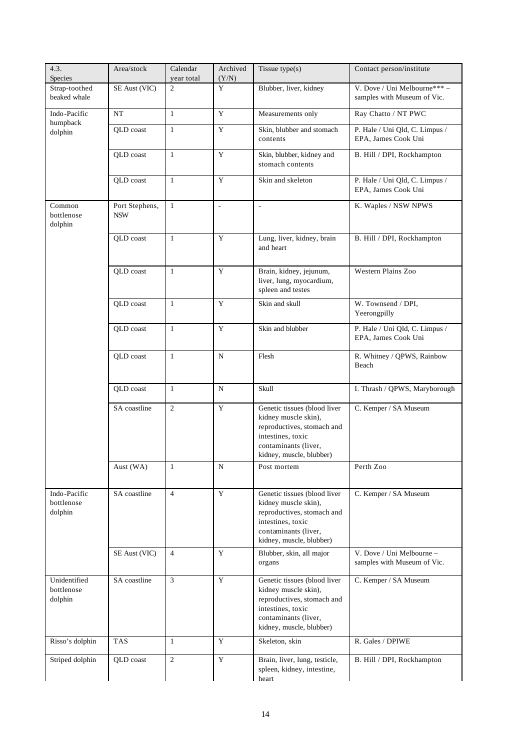| 4.3.<br>Species                       | Area/stock                   | Calendar<br>year total | Archived<br>(Y/N)        | Tissue type(s)                                                                                                                                              | Contact person/institute                                   |
|---------------------------------------|------------------------------|------------------------|--------------------------|-------------------------------------------------------------------------------------------------------------------------------------------------------------|------------------------------------------------------------|
| Strap-toothed<br>beaked whale         | SE Aust (VIC)                | $\overline{2}$         | Y                        | Blubber, liver, kidney                                                                                                                                      | V. Dove / Uni Melbourne***-<br>samples with Museum of Vic. |
| Indo-Pacific                          | NT                           | $\mathbf{1}$           | $\mathbf Y$              | Measurements only                                                                                                                                           | Ray Chatto / NT PWC                                        |
| humpback<br>dolphin                   | QLD coast                    | $\mathbf{1}$           | $\mathbf Y$              | Skin, blubber and stomach<br>contents                                                                                                                       | P. Hale / Uni Qld, C. Limpus /<br>EPA, James Cook Uni      |
|                                       | QLD coast                    | $\mathbf{1}$           | Y                        | Skin, blubber, kidney and<br>stomach contents                                                                                                               | B. Hill / DPI, Rockhampton                                 |
|                                       | OLD coast                    | $\mathbf{1}$           | $\mathbf Y$              | Skin and skeleton                                                                                                                                           | P. Hale / Uni Qld, C. Limpus /<br>EPA, James Cook Uni      |
| Common<br>bottlenose<br>dolphin       | Port Stephens,<br><b>NSW</b> | $\mathbf{1}$           | $\overline{\phantom{a}}$ | $\overline{\phantom{a}}$                                                                                                                                    | K. Waples / NSW NPWS                                       |
|                                       | QLD coast                    | $\mathbf{1}$           | $\mathbf Y$              | Lung, liver, kidney, brain<br>and heart                                                                                                                     | B. Hill / DPI, Rockhampton                                 |
|                                       | QLD coast                    | $\mathbf{1}$           | Y                        | Brain, kidney, jejunum,<br>liver, lung, myocardium,<br>spleen and testes                                                                                    | Western Plains Zoo                                         |
|                                       | QLD coast                    | $\mathbf{1}$           | Y                        | Skin and skull                                                                                                                                              | W. Townsend / DPI,<br>Yeerongpilly                         |
|                                       | QLD coast                    | $\mathbf{1}$           | $\mathbf Y$              | Skin and blubber                                                                                                                                            | P. Hale / Uni Qld, C. Limpus /<br>EPA, James Cook Uni      |
|                                       | QLD coast                    | $\mathbf{1}$           | ${\bf N}$                | Flesh                                                                                                                                                       | R. Whitney / QPWS, Rainbow<br>Beach                        |
|                                       | QLD coast                    | $\mathbf{1}$           | N                        | Skull                                                                                                                                                       | I. Thrash / QPWS, Maryborough                              |
|                                       | SA coastline                 | $\overline{c}$         | Y                        | Genetic tissues (blood liver<br>kidney muscle skin),<br>reproductives, stomach and<br>intestines, toxic<br>contaminants (liver,<br>kidney, muscle, blubber) | C. Kemper / SA Museum                                      |
|                                       | Aust (WA)                    | 1                      | N                        | Post mortem                                                                                                                                                 | Perth Zoo                                                  |
| Indo-Pacific<br>bottlenose<br>dolphin | SA coastline                 | $\overline{4}$         | Y                        | Genetic tissues (blood liver<br>kidney muscle skin),<br>reproductives, stomach and<br>intestines, toxic<br>contaminants (liver,<br>kidney, muscle, blubber) | C. Kemper / SA Museum                                      |
|                                       | SE Aust (VIC)                | $\overline{4}$         | Y                        | Blubber, skin, all major<br>organs                                                                                                                          | V. Dove / Uni Melbourne -<br>samples with Museum of Vic.   |
| Unidentified<br>bottlenose<br>dolphin | SA coastline                 | 3                      | Y                        | Genetic tissues (blood liver<br>kidney muscle skin),<br>reproductives, stomach and<br>intestines, toxic<br>contaminants (liver,<br>kidney, muscle, blubber) | C. Kemper / SA Museum                                      |
| Risso's dolphin                       | <b>TAS</b>                   | $\mathbf{1}$           | Y                        | Skeleton, skin                                                                                                                                              | R. Gales / DPIWE                                           |
| Striped dolphin                       | QLD coast                    | $\overline{2}$         | Y                        | Brain, liver, lung, testicle,<br>spleen, kidney, intestine,<br>heart                                                                                        | B. Hill / DPI, Rockhampton                                 |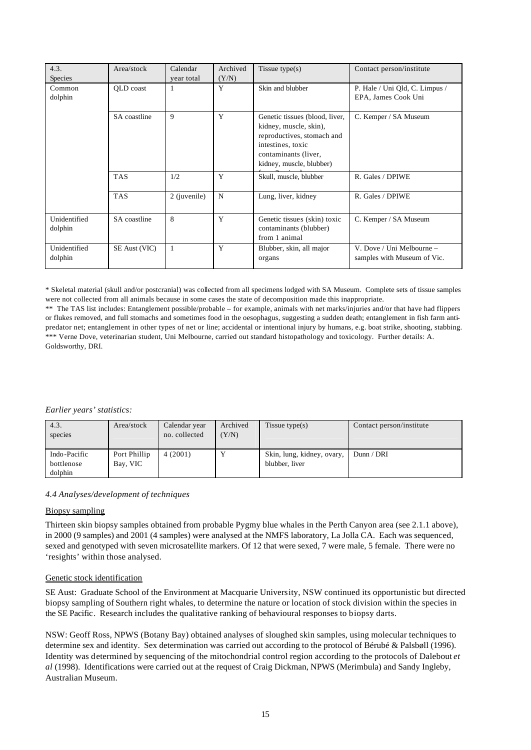| 4.3.<br>Species         | Area/stock                                       | Calendar<br>year total | Archived<br>(Y/N) | Tissue type $(s)$                                                                                                                                               | Contact person/institute                                 |
|-------------------------|--------------------------------------------------|------------------------|-------------------|-----------------------------------------------------------------------------------------------------------------------------------------------------------------|----------------------------------------------------------|
| Common<br>dolphin       | QLD coast                                        | 1                      | Y                 | Skin and blubber                                                                                                                                                | P. Hale / Uni Qld, C. Limpus /<br>EPA, James Cook Uni    |
|                         | SA coastline                                     | 9                      | Y                 | Genetic tissues (blood, liver,<br>kidney, muscle, skin),<br>reproductives, stomach and<br>intestines, toxic<br>contaminants (liver,<br>kidney, muscle, blubber) | C. Kemper / SA Museum                                    |
|                         | Y<br><b>TAS</b><br>Skull, muscle, blubber<br>1/2 |                        | R. Gales / DPIWE  |                                                                                                                                                                 |                                                          |
|                         | <b>TAS</b>                                       | 2 (juvenile)           | $\mathbf N$       | Lung, liver, kidney                                                                                                                                             | R. Gales / DPIWE                                         |
| Unidentified<br>dolphin | SA coastline                                     | 8                      | Y                 | Genetic tissues (skin) toxic<br>contaminants (blubber)<br>from 1 animal                                                                                         | C. Kemper / SA Museum                                    |
| Unidentified<br>dolphin | SE Aust (VIC)                                    | 1                      | Y                 | Blubber, skin, all major<br>organs                                                                                                                              | V. Dove / Uni Melbourne –<br>samples with Museum of Vic. |

\* Skeletal material (skull and/or postcranial) was collected from all specimens lodged with SA Museum. Complete sets of tissue samples were not collected from all animals because in some cases the state of decomposition made this inappropriate.

\*\* The TAS list includes: Entanglement possible/probable – for example, animals with net marks/injuries and/or that have had flippers or flukes removed, and full stomachs and sometimes food in the oesophagus, suggesting a sudden death; entanglement in fish farm antipredator net; entanglement in other types of net or line; accidental or intentional injury by humans, e.g. boat strike, shooting, stabbing. \*\*\* Verne Dove, veterinarian student, Uni Melbourne, carried out standard histopathology and toxicology. Further details: A. Goldsworthy, DRI.

## *Earlier years' statistics:*

| 4.3.<br>species            | Area/stock               | Calendar year<br>no. collected | Archived<br>(Y/N) | Tissue type $(s)$                            | Contact person/institute |
|----------------------------|--------------------------|--------------------------------|-------------------|----------------------------------------------|--------------------------|
| Indo-Pacific<br>bottlenose | Port Phillip<br>Bay, VIC | 4(2001)                        |                   | Skin, lung, kidney, ovary,<br>blubber, liver | Dunn / DRI               |
| dolphin                    |                          |                                |                   |                                              |                          |

## *4.4 Analyses/development of techniques*

## Biopsy sampling

Thirteen skin biopsy samples obtained from probable Pygmy blue whales in the Perth Canyon area (see 2.1.1 above), in 2000 (9 samples) and 2001 (4 samples) were analysed at the NMFS laboratory, La Jolla CA. Each was sequenced, sexed and genotyped with seven microsatellite markers. Of 12 that were sexed, 7 were male, 5 female. There were no 'resights' within those analysed.

#### Genetic stock identification

SE Aust: Graduate School of the Environment at Macquarie University, NSW continued its opportunistic but directed biopsy sampling of Southern right whales, to determine the nature or location of stock division within the species in the SE Pacific. Research includes the qualitative ranking of behavioural responses to biopsy darts.

NSW: Geoff Ross, NPWS (Botany Bay) obtained analyses of sloughed skin samples, using molecular techniques to determine sex and identity. Sex determination was carried out according to the protocol of Bérubé & Palsbøll (1996). Identity was determined by sequencing of the mitochondrial control region according to the protocols of Dalebout *et al* (1998). Identifications were carried out at the request of Craig Dickman, NPWS (Merimbula) and Sandy Ingleby, Australian Museum.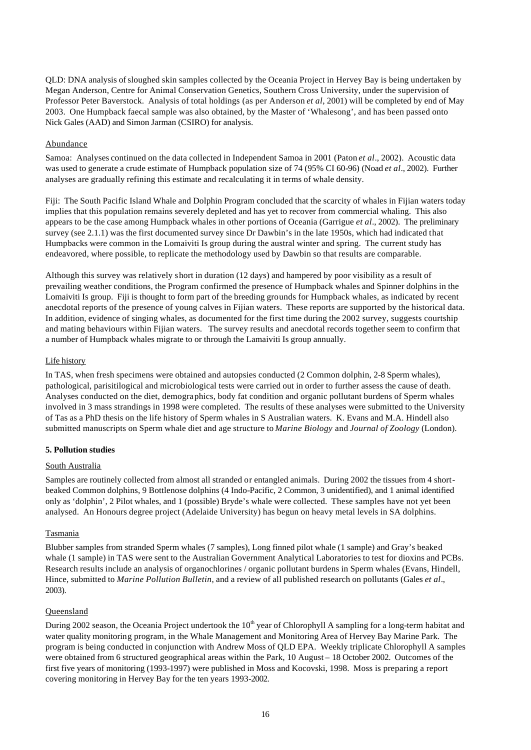QLD: DNA analysis of sloughed skin samples collected by the Oceania Project in Hervey Bay is being undertaken by Megan Anderson, Centre for Animal Conservation Genetics, Southern Cross University, under the supervision of Professor Peter Baverstock. Analysis of total holdings (as per Anderson *et al*, 2001) will be completed by end of May 2003. One Humpback faecal sample was also obtained, by the Master of 'Whalesong', and has been passed onto Nick Gales (AAD) and Simon Jarman (CSIRO) for analysis.

## Abundance

Samoa: Analyses continued on the data collected in Independent Samoa in 2001 (Paton *et al*., 2002). Acoustic data was used to generate a crude estimate of Humpback population size of 74 (95% CI 60-96) (Noad *et al*., 2002). Further analyses are gradually refining this estimate and recalculating it in terms of whale density.

Fiji: The South Pacific Island Whale and Dolphin Program concluded that the scarcity of whales in Fijian waters today implies that this population remains severely depleted and has yet to recover from commercial whaling. This also appears to be the case among Humpback whales in other portions of Oceania (Garrigue *et al*., 2002). The preliminary survey (see 2.1.1) was the first documented survey since Dr Dawbin's in the late 1950s, which had indicated that Humpbacks were common in the Lomaiviti Is group during the austral winter and spring. The current study has endeavored, where possible, to replicate the methodology used by Dawbin so that results are comparable.

Although this survey was relatively short in duration (12 days) and hampered by poor visibility as a result of prevailing weather conditions, the Program confirmed the presence of Humpback whales and Spinner dolphins in the Lomaiviti Is group. Fiji is thought to form part of the breeding grounds for Humpback whales, as indicated by recent anecdotal reports of the presence of young calves in Fijian waters. These reports are supported by the historical data. In addition, evidence of singing whales, as documented for the first time during the 2002 survey, suggests courtship and mating behaviours within Fijian waters. The survey results and anecdotal records together seem to confirm that a number of Humpback whales migrate to or through the Lamaiviti Is group annually.

## Life history

In TAS, when fresh specimens were obtained and autopsies conducted (2 Common dolphin, 2-8 Sperm whales), pathological, parisitilogical and microbiological tests were carried out in order to further assess the cause of death. Analyses conducted on the diet, demographics, body fat condition and organic pollutant burdens of Sperm whales involved in 3 mass strandings in 1998 were completed. The results of these analyses were submitted to the University of Tas as a PhD thesis on the life history of Sperm whales in S Australian waters. K. Evans and M.A. Hindell also submitted manuscripts on Sperm whale diet and age structure to *Marine Biology* and *Journal of Zoology* (London).

## **5. Pollution studies**

## South Australia

Samples are routinely collected from almost all stranded or entangled animals. During 2002 the tissues from 4 shortbeaked Common dolphins, 9 Bottlenose dolphins (4 Indo-Pacific, 2 Common, 3 unidentified), and 1 animal identified only as 'dolphin', 2 Pilot whales, and 1 (possible) Bryde's whale were collected. These samples have not yet been analysed. An Honours degree project (Adelaide University) has begun on heavy metal levels in SA dolphins.

## Tasmania

Blubber samples from stranded Sperm whales (7 samples), Long finned pilot whale (1 sample) and Gray's beaked whale (1 sample) in TAS were sent to the Australian Government Analytical Laboratories to test for dioxins and PCBs. Research results include an analysis of organochlorines / organic pollutant burdens in Sperm whales (Evans, Hindell, Hince, submitted to *Marine Pollution Bulletin*, and a review of all published research on pollutants (Gales *et al*., 2003).

## **Oueensland**

During 2002 season, the Oceania Project undertook the  $10<sup>th</sup>$  year of Chlorophyll A sampling for a long-term habitat and water quality monitoring program, in the Whale Management and Monitoring Area of Hervey Bay Marine Park. The program is being conducted in conjunction with Andrew Moss of QLD EPA. Weekly triplicate Chlorophyll A samples were obtained from 6 structured geographical areas within the Park, 10 August – 18 October 2002. Outcomes of the first five years of monitoring (1993-1997) were published in Moss and Kocovski, 1998. Moss is preparing a report covering monitoring in Hervey Bay for the ten years 1993-2002.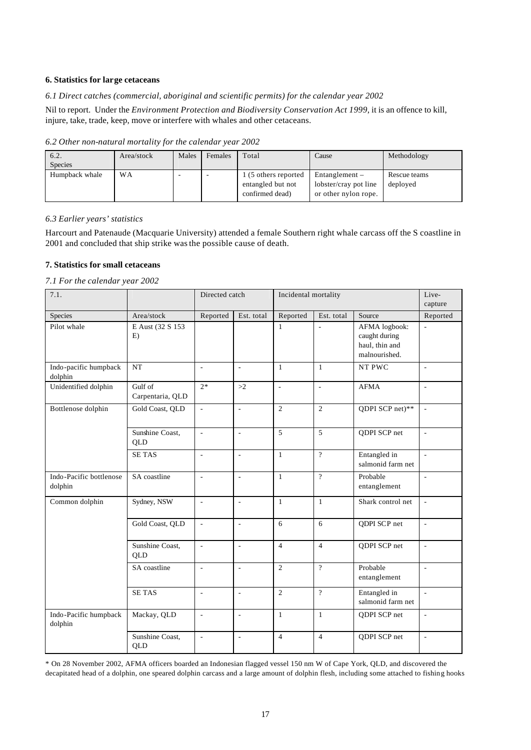#### **6. Statistics for large cetaceans**

*6.1 Direct catches (commercial, aboriginal and scientific permits) for the calendar year 2002*

Nil to report. Under the *Environment Protection and Biodiversity Conservation Act 1999*, it is an offence to kill, injure, take, trade, keep, move or interfere with whales and other cetaceans.

| 6.2.<br><b>Species</b> | Area/stock | Males | Females | Total                                                        | Cause                                                             | Methodology              |
|------------------------|------------|-------|---------|--------------------------------------------------------------|-------------------------------------------------------------------|--------------------------|
| Humpback whale         | <b>WA</b>  |       |         | 1 (5 others reported<br>entangled but not<br>confirmed dead) | Entanglement $-$<br>lobster/cray pot line<br>or other nylon rope. | Rescue teams<br>deployed |

*6.2 Other non-natural mortality for the calendar year 2002*

## *6.3 Earlier years' statistics*

Harcourt and Patenaude (Macquarie University) attended a female Southern right whale carcass off the S coastline in 2001 and concluded that ship strike was the possible cause of death.

## **7. Statistics for small cetaceans**

*7.1 For the calendar year 2002*

| 7.1.                               |                               | Directed catch           |                | Incidental mortality     |                          |                                                                   | Live-<br>capture         |
|------------------------------------|-------------------------------|--------------------------|----------------|--------------------------|--------------------------|-------------------------------------------------------------------|--------------------------|
| Species                            | Area/stock                    | Reported                 | Est. total     | Reported                 | Est. total               | Source                                                            | Reported                 |
| Pilot whale                        | E Aust (32 S 153<br>E)        |                          |                | $\mathbf{1}$             | $\bar{a}$                | AFMA logbook:<br>caught during<br>haul, thin and<br>malnourished. | ÷.                       |
| Indo-pacific humpback<br>dolphin   | <b>NT</b>                     | $\frac{1}{2}$            | $\frac{1}{2}$  | $\mathbf{1}$             | $\mathbf{1}$             | NT PWC                                                            | $\overline{\phantom{a}}$ |
| Unidentified dolphin               | Gulf of<br>Carpentaria, QLD   | $2*$                     | >2             | $\overline{\phantom{a}}$ | $\overline{\phantom{a}}$ | <b>AFMA</b>                                                       | ÷,                       |
| Bottlenose dolphin                 | Gold Coast, QLD               | $\overline{a}$           | ÷,             | $\overline{2}$           | 2                        | QDPI SCP net)**                                                   | L.                       |
|                                    | Sunshine Coast,<br>QLD        | $\overline{\phantom{a}}$ | ä,             | 5                        | 5                        | QDPI SCP net                                                      | $\overline{\phantom{a}}$ |
|                                    | <b>SETAS</b>                  | ä,                       | ÷,             | $\mathbf{1}$             | $\overline{?}$           | Entangled in<br>salmonid farm net                                 | $\overline{\phantom{a}}$ |
| Indo-Pacific bottlenose<br>dolphin | SA coastline                  | $\overline{\phantom{a}}$ | $\overline{a}$ | $\mathbf{1}$             | $\gamma$                 | Probable<br>entanglement                                          | $\frac{1}{2}$            |
| Common dolphin                     | Sydney, NSW                   | ÷,                       | L,             | $\mathbf{1}$             | $\mathbf{1}$             | Shark control net                                                 | ä,                       |
|                                    | Gold Coast, QLD               | $\overline{\phantom{a}}$ | $\frac{1}{2}$  | 6                        | 6                        | QDPI SCP net                                                      | ÷,                       |
|                                    | Sunshine Coast,<br>QLD        | $\frac{1}{2}$            | L,             | $\overline{4}$           | $\overline{4}$           | QDPI SCP net                                                      | ÷,                       |
|                                    | SA coastline                  | $\mathbf{r}$             | ä,             | $\overline{2}$           | $\overline{?}$           | Probable<br>entanglement                                          | $\overline{\phantom{a}}$ |
|                                    | <b>SETAS</b>                  | $\overline{\phantom{a}}$ | L,             | $\mathbf{2}$             | $\overline{?}$           | Entangled in<br>salmonid farm net                                 | $\overline{\phantom{a}}$ |
| Indo-Pacific humpback<br>dolphin   | Mackay, QLD                   | $\frac{1}{2}$            | ÷,             | $\mathbf{1}$             | $\mathbf{1}$             | QDPI SCP net                                                      | ÷.                       |
|                                    | Sunshine Coast,<br><b>QLD</b> | $\frac{1}{2}$            | L,             | $\overline{4}$           | $\overline{4}$           | QDPI SCP net                                                      | ÷.                       |

\* On 28 November 2002, AFMA officers boarded an Indonesian flagged vessel 150 nm W of Cape York, QLD, and discovered the decapitated head of a dolphin, one speared dolphin carcass and a large amount of dolphin flesh, including some attached to fishing hooks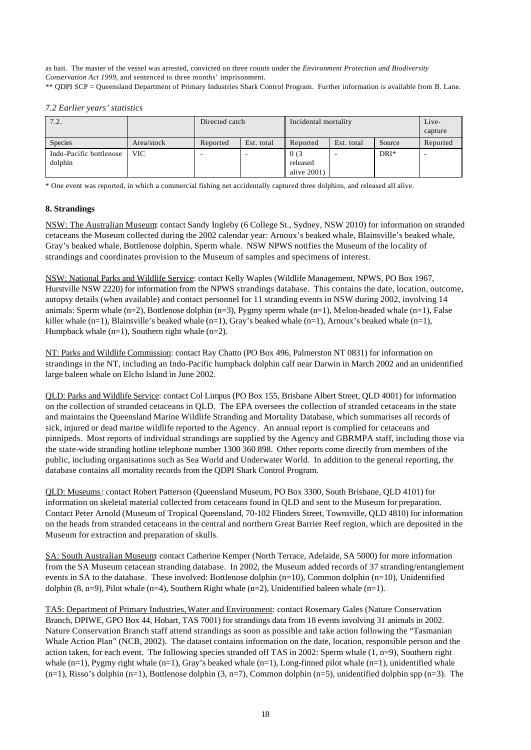as bait. The master of the vessel was arrested, convicted on three counts under the *Environment Protection and Biodiversity Conservation Act 1999*, and sentenced to three months' imprisonment.

\*\* QDPI SCP = Queensland Department of Primary Industries Shark Control Program. Further information is available from B. Lane.

*7.2 Earlier years' statistics*

| 7.2.                    |            | Directed catch |            | Incidental mortality |            |         | Live-<br>capture |
|-------------------------|------------|----------------|------------|----------------------|------------|---------|------------------|
| Species                 | Area/stock | Reported       | Est. total | Reported             | Est. total | Source  | Reported         |
| Indo-Pacific bottlenose | <b>VIC</b> |                |            | 0(3)                 |            | $DRI^*$ |                  |
| dolphin                 |            |                |            | released             |            |         |                  |
|                         |            |                |            | alive $2001$ )       |            |         |                  |

\* One event was reported, in which a commercial fishing net accidentally captured three dolphins, and released all alive.

## **8. Strandings**

NSW: The Australian Museum: contact Sandy Ingleby (6 College St., Sydney, NSW 2010) for information on stranded cetaceans the Museum collected during the 2002 calendar year: Arnoux's beaked whale, Blainsville's beaked whale, Gray's beaked whale, Bottlenose dolphin, Sperm whale. NSW NPWS notifies the Museum of the locality of strandings and coordinates provision to the Museum of samples and specimens of interest.

NSW: National Parks and Wildlife Service: contact Kelly Waples (Wildlife Management, NPWS, PO Box 1967, Hurstville NSW 2220) for information from the NPWS strandings database. This contains the date, location, outcome, autopsy details (when available) and contact personnel for 11 stranding events in NSW during 2002, involving 14 animals: Sperm whale (n=2), Bottlenose dolphin (n=3), Pygmy sperm whale (n=1), Melon-headed whale (n=1), False killer whale  $(n=1)$ , Blainsville's beaked whale  $(n=1)$ , Gray's beaked whale  $(n=1)$ , Arnoux's beaked whale  $(n=1)$ , Humpback whale  $(n=1)$ , Southern right whale  $(n=2)$ .

NT: Parks and Wildlife Commission: contact Ray Chatto (PO Box 496, Palmerston NT 0831) for information on strandings in the NT, including an Indo-Pacific humpback dolphin calf near Darwin in March 2002 and an unidentified large baleen whale on Elcho Island in June 2002.

QLD: Parks and Wildlife Service: contact Col Limpus (PO Box 155, Brisbane Albert Street, QLD 4001) for information on the collection of stranded cetaceans in QLD. The EPA oversees the collection of stranded cetaceans in the state and maintains the Queensland Marine Wildlife Stranding and Mortality Database, which summarises all records of sick, injured or dead marine wildlife reported to the Agency. An annual report is complied for cetaceans and pinnipeds. Most reports of individual strandings are supplied by the Agency and GBRMPA staff, including those via the state-wide stranding hotline telephone number 1300 360 898. Other reports come directly from members of the public, including organisations such as Sea World and Underwater World. In addition to the general reporting, the database contains all mortality records from the QDPI Shark Control Program.

QLD: Museums: contact Robert Patterson (Queensland Museum, PO Box 3300, South Brisbane, QLD 4101) for information on skeletal material collected from cetaceans found in QLD and sent to the Museum for preparation. Contact Peter Arnold (Museum of Tropical Queensland, 70-102 Flinders Street, Townsville, QLD 4810) for information on the heads from stranded cetaceans in the central and northern Great Barrier Reef region, which are deposited in the Museum for extraction and preparation of skulls.

SA: South Australian Museum: contact Catherine Kemper (North Terrace, Adelaide, SA 5000) for more information from the SA Museum cetacean stranding database. In 2002, the Museum added records of 37 stranding/entanglement events in SA to the database. These involved: Bottlenose dolphin (n=10), Common dolphin (n=10), Unidentified dolphin  $(8, n=9)$ , Pilot whale  $(n=4)$ , Southern Right whale  $(n=2)$ , Unidentified baleen whale  $(n=1)$ .

TAS: Department of Primary Industries, Water and Environment: contact Rosemary Gales (Nature Conservation Branch, DPIWE, GPO Box 44, Hobart, TAS 7001) for strandings data from 18 events involving 31 animals in 2002. Nature Conservation Branch staff attend strandings as soon as possible and take action following the "Tasmanian Whale Action Plan" (NCB, 2002). The dataset contains information on the date, location, responsible person and the action taken, for each event. The following species stranded off TAS in 2002: Sperm whale  $(1, n=9)$ , Southern right whale  $(n=1)$ , Pygmy right whale  $(n=1)$ , Gray's beaked whale  $(n=1)$ , Long-finned pilot whale  $(n=1)$ , unidentified whale  $(n=1)$ , Risso's dolphin  $(n=1)$ , Bottlenose dolphin  $(3, n=7)$ , Common dolphin  $(n=5)$ , unidentified dolphin spp  $(n=3)$ . The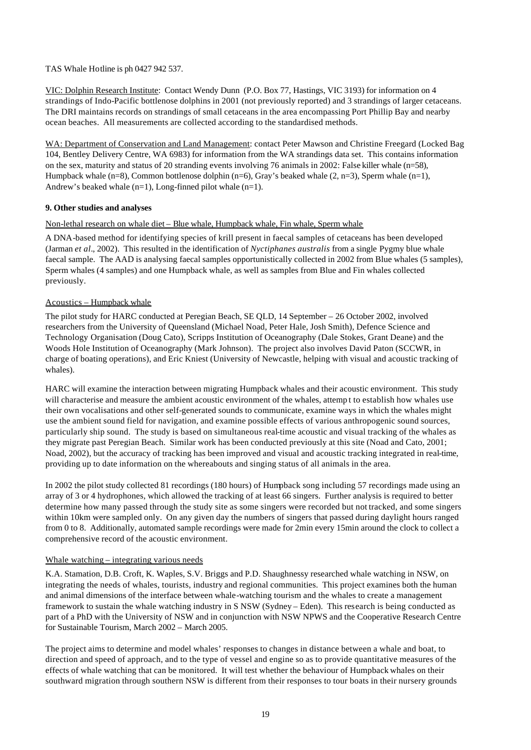## TAS Whale Hotline is ph 0427 942 537.

VIC: Dolphin Research Institute: Contact Wendy Dunn (P.O. Box 77, Hastings, VIC 3193) for information on 4 strandings of Indo-Pacific bottlenose dolphins in 2001 (not previously reported) and 3 strandings of larger cetaceans. The DRI maintains records on strandings of small cetaceans in the area encompassing Port Phillip Bay and nearby ocean beaches. All measurements are collected according to the standardised methods.

WA: Department of Conservation and Land Management: contact Peter Mawson and Christine Freegard (Locked Bag 104, Bentley Delivery Centre, WA 6983) for information from the WA strandings data set. This contains information on the sex, maturity and status of 20 stranding events involving 76 animals in 2002: False killer whale (n=58), Humpback whale  $(n=8)$ , Common bottlenose dolphin  $(n=6)$ , Gray's beaked whale  $(2, n=3)$ , Sperm whale  $(n=1)$ , Andrew's beaked whale (n=1), Long-finned pilot whale (n=1).

## **9. Other studies and analyses**

## Non-lethal research on whale diet – Blue whale, Humpback whale, Fin whale, Sperm whale

A DNA-based method for identifying species of krill present in faecal samples of cetaceans has been developed (Jarman *et al.*, 2002). This resulted in the identification of *Nyctiphanes australis* from a single Pygmy blue whale faecal sample. The AAD is analysing faecal samples opportunistically collected in 2002 from Blue whales (5 samples), Sperm whales (4 samples) and one Humpback whale, as well as samples from Blue and Fin whales collected previously.

## Acoustics – Humpback whale

The pilot study for HARC conducted at Peregian Beach, SE QLD, 14 September – 26 October 2002, involved researchers from the University of Queensland (Michael Noad, Peter Hale, Josh Smith), Defence Science and Technology Organisation (Doug Cato), Scripps Institution of Oceanography (Dale Stokes, Grant Deane) and the Woods Hole Institution of Oceanography (Mark Johnson). The project also involves David Paton (SCCWR, in charge of boating operations), and Eric Kniest (University of Newcastle, helping with visual and acoustic tracking of whales).

HARC will examine the interaction between migrating Humpback whales and their acoustic environment. This study will characterise and measure the ambient acoustic environment of the whales, attemp t to establish how whales use their own vocalisations and other self-generated sounds to communicate, examine ways in which the whales might use the ambient sound field for navigation, and examine possible effects of various anthropogenic sound sources, particularly ship sound. The study is based on simultaneous real-time acoustic and visual tracking of the whales as they migrate past Peregian Beach. Similar work has been conducted previously at this site (Noad and Cato, 2001; Noad, 2002), but the accuracy of tracking has been improved and visual and acoustic tracking integrated in real-time, providing up to date information on the whereabouts and singing status of all animals in the area.

In 2002 the pilot study collected 81 recordings (180 hours) of Humpback song including 57 recordings made using an array of 3 or 4 hydrophones, which allowed the tracking of at least 66 singers. Further analysis is required to better determine how many passed through the study site as some singers were recorded but not tracked, and some singers within 10km were sampled only. On any given day the numbers of singers that passed during daylight hours ranged from 0 to 8. Additionally, automated sample recordings were made for 2min every 15min around the clock to collect a comprehensive record of the acoustic environment.

## Whale watching – integrating various needs

K.A. Stamation, D.B. Croft, K. Waples, S.V. Briggs and P.D. Shaughnessy researched whale watching in NSW, on integrating the needs of whales, tourists, industry and regional communities. This project examines both the human and animal dimensions of the interface between whale-watching tourism and the whales to create a management framework to sustain the whale watching industry in S NSW (Sydney – Eden). This research is being conducted as part of a PhD with the University of NSW and in conjunction with NSW NPWS and the Cooperative Research Centre for Sustainable Tourism, March 2002 – March 2005.

The project aims to determine and model whales' responses to changes in distance between a whale and boat, to direction and speed of approach, and to the type of vessel and engine so as to provide quantitative measures of the effects of whale watching that can be monitored. It will test whether the behaviour of Humpback whales on their southward migration through southern NSW is different from their responses to tour boats in their nursery grounds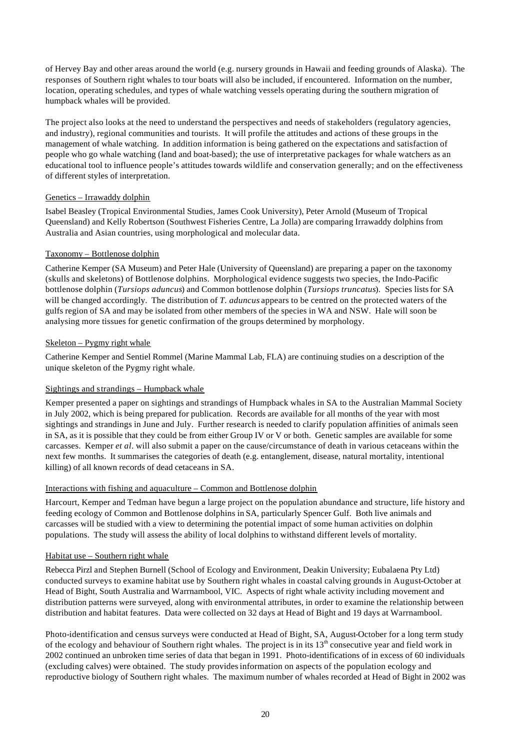of Hervey Bay and other areas around the world (e.g. nursery grounds in Hawaii and feeding grounds of Alaska). The responses of Southern right whales to tour boats will also be included, if encountered. Information on the number, location, operating schedules, and types of whale watching vessels operating during the southern migration of humpback whales will be provided.

The project also looks at the need to understand the perspectives and needs of stakeholders (regulatory agencies, and industry), regional communities and tourists. It will profile the attitudes and actions of these groups in the management of whale watching. In addition information is being gathered on the expectations and satisfaction of people who go whale watching (land and boat-based); the use of interpretative packages for whale watchers as an educational tool to influence people's attitudes towards wildlife and conservation generally; and on the effectiveness of different styles of interpretation.

## Genetics – Irrawaddy dolphin

Isabel Beasley (Tropical Environmental Studies, James Cook University), Peter Arnold (Museum of Tropical Queensland) and Kelly Robertson (Southwest Fisheries Centre, La Jolla) are comparing Irrawaddy dolphins from Australia and Asian countries, using morphological and molecular data.

## Taxonomy – Bottlenose dolphin

Catherine Kemper (SA Museum) and Peter Hale (University of Queensland) are preparing a paper on the taxonomy (skulls and skeletons) of Bottlenose dolphins. Morphological evidence suggests two species, the Indo-Pacific bottlenose dolphin (*Tursiops aduncus*) and Common bottlenose dolphin (*Tursiops truncatus*). Species lists for SA will be changed accordingly. The distribution of *T. aduncus* appears to be centred on the protected waters of the gulfs region of SA and may be isolated from other members of the species in WA and NSW. Hale will soon be analysing more tissues for genetic confirmation of the groups determined by morphology.

## Skeleton – Pygmy right whale

Catherine Kemper and Sentiel Rommel (Marine Mammal Lab, FLA) are continuing studies on a description of the unique skeleton of the Pygmy right whale.

## Sightings and strandings – Humpback whale

Kemper presented a paper on sightings and strandings of Humpback whales in SA to the Australian Mammal Society in July 2002, which is being prepared for publication. Records are available for all months of the year with most sightings and strandings in June and July. Further research is needed to clarify population affinities of animals seen in SA, as it is possible that they could be from either Group IV or V or both. Genetic samples are available for some carcasses. Kemper *et al*. will also submit a paper on the cause/circumstance of death in various cetaceans within the next few months. It summarises the categories of death (e.g. entanglement, disease, natural mortality, intentional killing) of all known records of dead cetaceans in SA.

## Interactions with fishing and aquaculture – Common and Bottlenose dolphin

Harcourt, Kemper and Tedman have begun a large project on the population abundance and structure, life history and feeding ecology of Common and Bottlenose dolphins in SA, particularly Spencer Gulf. Both live animals and carcasses will be studied with a view to determining the potential impact of some human activities on dolphin populations. The study will assess the ability of local dolphins to withstand different levels of mortality.

## Habitat use – Southern right whale

Rebecca Pirzl and Stephen Burnell (School of Ecology and Environment, Deakin University; Eubalaena Pty Ltd) conducted surveys to examine habitat use by Southern right whales in coastal calving grounds in August-October at Head of Bight, South Australia and Warrnambool, VIC. Aspects of right whale activity including movement and distribution patterns were surveyed, along with environmental attributes, in order to examine the relationship between distribution and habitat features. Data were collected on 32 days at Head of Bight and 19 days at Warrnambool.

Photo-identification and census surveys were conducted at Head of Bight, SA, August-October for a long term study of the ecology and behaviour of Southern right whales. The project is in its 13<sup>th</sup> consecutive year and field work in 2002 continued an unbroken time series of data that began in 1991. Photo-identifications of in excess of 60 individuals (excluding calves) were obtained. The study provides information on aspects of the population ecology and reproductive biology of Southern right whales. The maximum number of whales recorded at Head of Bight in 2002 was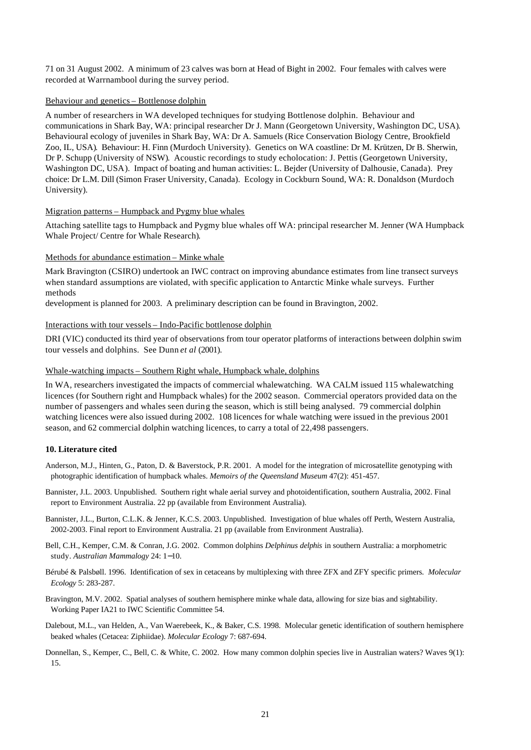71 on 31 August 2002. A minimum of 23 calves was born at Head of Bight in 2002. Four females with calves were recorded at Warrnambool during the survey period.

#### Behaviour and genetics – Bottlenose dolphin

A number of researchers in WA developed techniques for studying Bottlenose dolphin. Behaviour and communications in Shark Bay, WA: principal researcher Dr J. Mann (Georgetown University, Washington DC, USA). Behavioural ecology of juveniles in Shark Bay, WA: Dr A. Samuels (Rice Conservation Biology Centre, Brookfield Zoo, IL, USA). Behaviour: H. Finn (Murdoch University). Genetics on WA coastline: Dr M. Krützen, Dr B. Sherwin, Dr P. Schupp (University of NSW). Acoustic recordings to study echolocation: J. Pettis (Georgetown University, Washington DC, USA). Impact of boating and human activities: L. Bejder (University of Dalhousie, Canada). Prey choice: Dr L.M. Dill (Simon Fraser University, Canada). Ecology in Cockburn Sound, WA: R. Donaldson (Murdoch University).

#### Migration patterns – Humpback and Pygmy blue whales

Attaching satellite tags to Humpback and Pygmy blue whales off WA: principal researcher M. Jenner (WA Humpback Whale Project/ Centre for Whale Research).

#### Methods for abundance estimation – Minke whale

Mark Bravington (CSIRO) undertook an IWC contract on improving abundance estimates from line transect surveys when standard assumptions are violated, with specific application to Antarctic Minke whale surveys. Further methods

development is planned for 2003. A preliminary description can be found in Bravington, 2002.

#### Interactions with tour vessels – Indo-Pacific bottlenose dolphin

DRI (VIC) conducted its third year of observations from tour operator platforms of interactions between dolphin swim tour vessels and dolphins. See Dunn *et al* (2001).

#### Whale-watching impacts – Southern Right whale, Humpback whale, dolphins

In WA, researchers investigated the impacts of commercial whalewatching. WA CALM issued 115 whalewatching licences (for Southern right and Humpback whales) for the 2002 season. Commercial operators provided data on the number of passengers and whales seen during the season, which is still being analysed. 79 commercial dolphin watching licences were also issued during 2002. 108 licences for whale watching were issued in the previous 2001 season, and 62 commercial dolphin watching licences, to carry a total of 22,498 passengers.

#### **10. Literature cited**

- Anderson, M.J., Hinten, G., Paton, D. & Baverstock, P.R. 2001. A model for the integration of microsatellite genotyping with photographic identification of humpback whales. *Memoirs of the Queensland Museum* 47(2): 451-457.
- Bannister, J.L. 2003. Unpublished. Southern right whale aerial survey and photoidentification, southern Australia, 2002. Final report to Environment Australia. 22 pp (available from Environment Australia).
- Bannister, J.L., Burton, C.L.K. & Jenner, K.C.S. 2003. Unpublished. Investigation of blue whales off Perth, Western Australia, 2002-2003. Final report to Environment Australia. 21 pp (available from Environment Australia).
- Bell, C.H., Kemper, C.M. & Conran, J.G. 2002. Common dolphins *Delphinus delphis* in southern Australia: a morphometric study. *Australian Mammalogy* 24: 1−10.
- Bérubé & Palsbøll. 1996. Identification of sex in cetaceans by multiplexing with three ZFX and ZFY specific primers*. Molecular Ecology* 5: 283-287.
- Bravington, M.V. 2002. Spatial analyses of southern hemisphere minke whale data, allowing for size bias and sightability. Working Paper IA21 to IWC Scientific Committee 54.
- Dalebout, M.L., van Helden, A., Van Waerebeek, K., & Baker, C.S. 1998. Molecular genetic identification of southern hemisphere beaked whales (Cetacea: Ziphiidae). *Molecular Ecology* 7: 687-694.
- Donnellan, S., Kemper, C., Bell, C. & White, C. 2002. How many common dolphin species live in Australian waters? Waves 9(1): 15.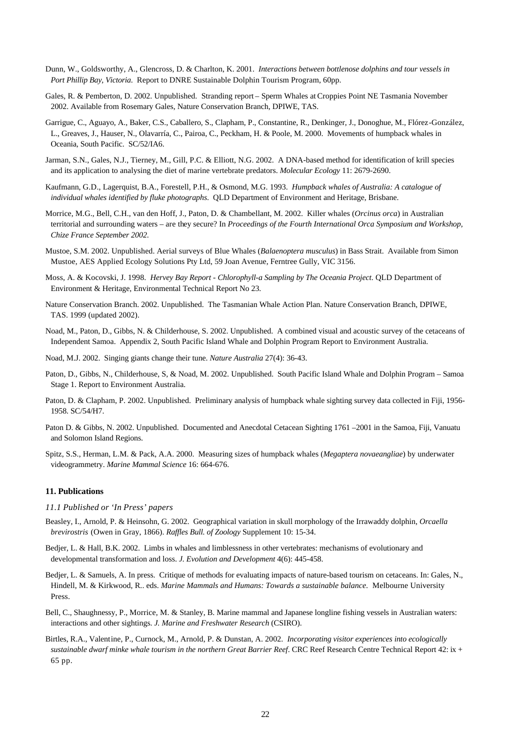- Dunn, W., Goldsworthy, A., Glencross, D. & Charlton, K. 2001. *Interactions between bottlenose dolphins and tour vessels in Port Phillip Bay, Victoria*. Report to DNRE Sustainable Dolphin Tourism Program, 60pp.
- Gales, R. & Pemberton, D. 2002. Unpublished. Stranding report Sperm Whales at Croppies Point NE Tasmania November 2002. Available from Rosemary Gales, Nature Conservation Branch, DPIWE, TAS.
- Garrigue, C., Aguayo, A., Baker, C.S., Caballero, S., Clapham, P., Constantine, R., Denkinger, J., Donoghue, M., Flórez-González, L., Greaves, J., Hauser, N., Olavarría, C., Pairoa, C., Peckham, H. & Poole, M. 2000. Movements of humpback whales in Oceania, South Pacific. SC/52/IA6.
- Jarman, S.N., Gales, N.J., Tierney, M., Gill, P.C. & Elliott, N.G. 2002. A DNA-based method for identification of krill species and its application to analysing the diet of marine vertebrate predators. *Molecular Ecology* 11: 2679-2690.
- Kaufmann, G.D., Lagerquist, B.A., Forestell, P.H., & Osmond, M.G. 1993. *Humpback whales of Australia: A catalogue of individual whales identified by fluke photographs*. QLD Department of Environment and Heritage, Brisbane.
- Morrice, M.G., Bell, C.H., van den Hoff, J., Paton, D. & Chambellant, M. 2002. Killer whales (*Orcinus orca*) in Australian territorial and surrounding waters – are they secure? In *Proceedings of the Fourth International Orca Symposium and Workshop, Chize France September 2002*.
- Mustoe, S.M. 2002. Unpublished. Aerial surveys of Blue Whales (*Balaenoptera musculus*) in Bass Strait. Available from Simon Mustoe, AES Applied Ecology Solutions Pty Ltd, 59 Joan Avenue, Ferntree Gully, VIC 3156.
- Moss, A. & Kocovski, J. 1998. *Hervey Bay Report Chlorophyll-a Sampling by The Oceania Project*. QLD Department of Environment & Heritage, Environmental Technical Report No 23.
- Nature Conservation Branch. 2002. Unpublished. The Tasmanian Whale Action Plan. Nature Conservation Branch, DPIWE, TAS. 1999 (updated 2002).
- Noad, M., Paton, D., Gibbs, N. & Childerhouse, S. 2002. Unpublished. A combined visual and acoustic survey of the cetaceans of Independent Samoa. Appendix 2, South Pacific Island Whale and Dolphin Program Report to Environment Australia.
- Noad, M.J. 2002. Singing giants change their tune. *Nature Australia* 27(4): 36-43.
- Paton, D., Gibbs, N., Childerhouse, S, & Noad, M. 2002. Unpublished. South Pacific Island Whale and Dolphin Program Samoa Stage 1. Report to Environment Australia.
- Paton, D. & Clapham, P. 2002. Unpublished. Preliminary analysis of humpback whale sighting survey data collected in Fiji, 1956- 1958. SC/54/H7.
- Paton D. & Gibbs, N. 2002. Unpublished. Documented and Anecdotal Cetacean Sighting 1761 –2001 in the Samoa, Fiji, Vanuatu and Solomon Island Regions.
- Spitz, S.S., Herman, L.M. & Pack, A.A. 2000. Measuring sizes of humpback whales (*Megaptera novaeangliae*) by underwater videogrammetry. *Marine Mammal Science* 16: 664-676.

#### **11. Publications**

- *11.1 Published or 'In Press' papers*
- Beasley, I., Arnold, P. & Heinsohn, G. 2002. Geographical variation in skull morphology of the Irrawaddy dolphin, *Orcaella brevirostris* (Owen in Gray, 1866). *Raffles Bull. of Zoology* Supplement 10: 15-34.
- Bedjer, L. & Hall, B.K. 2002. Limbs in whales and limblessness in other vertebrates: mechanisms of evolutionary and developmental transformation and loss. *J. Evolution and Development* 4(6): 445-458.
- Bedjer, L. & Samuels, A. In press. Critique of methods for evaluating impacts of nature-based tourism on cetaceans. In: Gales, N., Hindell, M. & Kirkwood, R.. eds. *Marine Mammals and Humans: Towards a sustainable balance*. Melbourne University Press.
- Bell, C., Shaughnessy, P., Morrice, M. & Stanley, B. Marine mammal and Japanese longline fishing vessels in Australian waters: interactions and other sightings. *J. Marine and Freshwater Research* (CSIRO).
- Birtles, R.A., Valentine, P., Curnock, M., Arnold, P. & Dunstan, A. 2002. *Incorporating visitor experiences into ecologically sustainable dwarf minke whale tourism in the northern Great Barrier Reef*. CRC Reef Research Centre Technical Report 42: ix + 65 pp.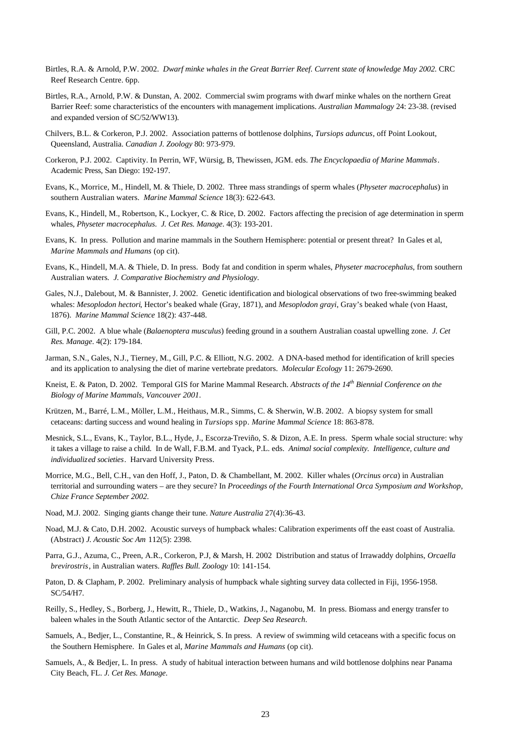- Birtles, R.A. & Arnold, P.W. 2002. *Dwarf minke whales in the Great Barrier Reef. Current state of knowledge May 2002.* CRC Reef Research Centre. 6pp.
- Birtles, R.A., Arnold, P.W. & Dunstan, A. 2002. Commercial swim programs with dwarf minke whales on the northern Great Barrier Reef: some characteristics of the encounters with management implications. *Australian Mammalogy* 24: 23-38. (revised and expanded version of SC/52/WW13).
- Chilvers, B.L. & Corkeron, P.J. 2002. Association patterns of bottlenose dolphins, *Tursiops aduncus*, off Point Lookout, Queensland, Australia. *Canadian J. Zoology* 80: 973-979.
- Corkeron, P.J. 2002. Captivity. In Perrin, WF, Würsig, B, Thewissen, JGM. eds. *The Encyclopaedia of Marine Mammals*. Academic Press, San Diego: 192-197.
- Evans, K., Morrice, M., Hindell, M. & Thiele, D. 2002. Three mass strandings of sperm whales (*Physeter macrocephalus*) in southern Australian waters. *Marine Mammal Science* 18(3): 622-643.
- Evans, K., Hindell, M., Robertson, K., Lockyer, C. & Rice, D. 2002. Factors affecting the precision of age determination in sperm whales, *Physeter macrocephalus*. *J. Cet Res. Manage*. 4(3): 193-201.
- Evans, K. In press. Pollution and marine mammals in the Southern Hemisphere: potential or present threat? In Gales et al, *Marine Mammals and Humans* (op cit).
- Evans, K., Hindell, M.A. & Thiele, D. In press. Body fat and condition in sperm whales, *Physeter macrocephalus*, from southern Australian waters*. J. Comparative Biochemistry and Physiology*.
- Gales, N.J., Dalebout, M. & Bannister, J. 2002. Genetic identification and biological observations of two free-swimming beaked whales: *Mesoplodon hectori*, Hector's beaked whale (Gray, 1871), and *Mesoplodon grayi*, Gray's beaked whale (von Haast, 1876). *Marine Mammal Science* 18(2): 437-448.
- Gill, P.C. 2002. A blue whale (*Balaenoptera musculus*) feeding ground in a southern Australian coastal upwelling zone. *J. Cet Res. Manage*. 4(2): 179-184.
- Jarman, S.N., Gales, N.J., Tierney, M., Gill, P.C. & Elliott, N.G. 2002. A DNA-based method for identification of krill species and its application to analysing the diet of marine vertebrate predators. *Molecular Ecology* 11: 2679-2690.
- Kneist, E. & Paton, D. 2002. Temporal GIS for Marine Mammal Research. *Abstracts of the 14th Biennial Conference on the Biology of Marine Mammals, Vancouver 2001*.
- Krützen, M., Barré, L.M., Möller, L.M., Heithaus, M.R., Simms, C. & Sherwin, W.B. 2002. A biopsy system for small cetaceans: darting success and wound healing in *Tursiops* spp. *Marine Mammal Science* 18: 863-878.
- Mesnick, S.L., Evans, K., Taylor, B.L., Hyde, J., Escorza-Treviño, S. & Dizon, A.E. In press. Sperm whale social structure: why it takes a village to raise a child. In de Wall, F.B.M. and Tyack, P.L. eds. *Animal social complexity. Intelligence, culture and individualized societies*. Harvard University Press.
- Morrice, M.G., Bell, C.H., van den Hoff, J., Paton, D. & Chambellant, M. 2002. Killer whales (*Orcinus orca*) in Australian territorial and surrounding waters – are they secure? In *Proceedings of the Fourth International Orca Symposium and Workshop, Chize France September 2002*.
- Noad, M.J. 2002. Singing giants change their tune. *Nature Australia* 27(4):36-43.
- Noad, M.J. & Cato, D.H. 2002. Acoustic surveys of humpback whales: Calibration experiments off the east coast of Australia. (Abstract) *J. Acoustic Soc Am* 112(5): 2398.
- Parra, G.J., Azuma, C., Preen, A.R., Corkeron, P.J, & Marsh, H. 2002 Distribution and status of Irrawaddy dolphins, *Orcaella brevirostris*, in Australian waters. *Raffles Bull. Zoology* 10: 141-154.
- Paton, D. & Clapham, P. 2002. Preliminary analysis of humpback whale sighting survey data collected in Fiji, 1956-1958. SC/54/H7.
- Reilly, S., Hedley, S., Borberg, J., Hewitt, R., Thiele, D., Watkins, J., Naganobu, M. In press. Biomass and energy transfer to baleen whales in the South Atlantic sector of the Antarctic. *Deep Sea Research*.
- Samuels, A., Bedjer, L., Constantine, R., & Heinrick, S. In press. A review of swimming wild cetaceans with a specific focus on the Southern Hemisphere. In Gales et al, *Marine Mammals and Humans* (op cit).
- Samuels, A., & Bedjer, L. In press. A study of habitual interaction between humans and wild bottlenose dolphins near Panama City Beach, FL. *J. Cet Res. Manage*.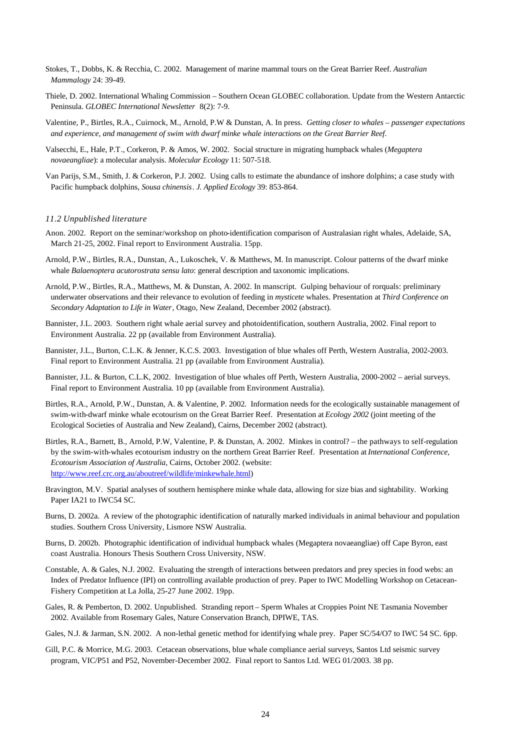- Stokes, T., Dobbs, K. & Recchia, C. 2002.Management of marine mammal tours on the Great Barrier Reef. *Australian Mammalogy* 24: 39-49.
- Thiele, D. 2002. International Whaling Commission Southern Ocean GLOBEC collaboration. Update from the Western Antarctic Peninsula. *GLOBEC International Newsletter* 8(2): 7-9.
- Valentine, P., Birtles, R.A., Cuirnock, M., Arnold, P.W & Dunstan, A. In press. *Getting closer to whales passenger expectations and experience, and management of swim with dwarf minke whale interactions on the Great Barrier Reef*.
- Valsecchi, E., Hale, P.T., Corkeron, P. & Amos, W. 2002. Social structure in migrating humpback whales (*Megaptera novaeangliae*): a molecular analysis. *Molecular Ecology* 11: 507-518.
- Van Parijs, S.M., Smith, J. & Corkeron, P.J. 2002. Using calls to estimate the abundance of inshore dolphins; a case study with Pacific humpback dolphins, *Sousa chinensis*. *J. Applied Ecology* 39: 853-864.

#### *11.2 Unpublished literature*

- Anon. 2002. Report on the seminar/workshop on photo-identification comparison of Australasian right whales, Adelaide, SA, March 21-25, 2002. Final report to Environment Australia. 15pp.
- Arnold, P.W., Birtles, R.A., Dunstan, A., Lukoschek, V. & Matthews, M. In manuscript. Colour patterns of the dwarf minke whale *Balaenoptera acutorostrata sensu lato*: general description and taxonomic implications.
- Arnold, P.W., Birtles, R.A., Matthews, M. & Dunstan, A. 2002. In manscript. Gulping behaviour of rorquals: preliminary underwater observations and their relevance to evolution of feeding in *mysticete* whales. Presentation at *Third Conference on Secondary Adaptation to Life in Water*, Otago, New Zealand, December 2002 (abstract).
- Bannister, J.L. 2003. Southern right whale aerial survey and photoidentification, southern Australia, 2002. Final report to Environment Australia. 22 pp (available from Environment Australia).
- Bannister, J.L., Burton, C.L.K. & Jenner, K.C.S. 2003. Investigation of blue whales off Perth, Western Australia, 2002-2003. Final report to Environment Australia. 21 pp (available from Environment Australia).
- Bannister, J.L. & Burton, C.L.K, 2002. Investigation of blue whales off Perth, Western Australia, 2000-2002 aerial surveys. Final report to Environment Australia. 10 pp (available from Environment Australia).
- Birtles, R.A., Arnold, P.W., Dunstan, A. & Valentine, P. 2002. Information needs for the ecologically sustainable management of swim-with-dwarf minke whale ecotourism on the Great Barrier Reef. Presentation at *Ecology 2002* (joint meeting of the Ecological Societies of Australia and New Zealand), Cairns, December 2002 (abstract).
- Birtles, R.A., Barnett, B., Arnold, P.W, Valentine, P. & Dunstan, A. 2002. Minkes in control? the pathways to self-regulation by the swim-with-whales ecotourism industry on the northern Great Barrier Reef. Presentation at *International Conference, Ecotourism Association of Australia*, Cairns, October 2002. (website: http://www.reef.crc.org.au/aboutreef/wildlife/minkewhale.html)
- Bravington, M.V. Spatial analyses of southern hemisphere minke whale data, allowing for size bias and sightability. Working Paper IA21 to IWC54 SC.
- Burns, D. 2002a. A review of the photographic identification of naturally marked individuals in animal behaviour and population studies. Southern Cross University, Lismore NSW Australia.
- Burns, D. 2002b. Photographic identification of individual humpback whales (Megaptera novaeangliae) off Cape Byron, east coast Australia. Honours Thesis Southern Cross University, NSW.
- Constable, A. & Gales, N.J. 2002. Evaluating the strength of interactions between predators and prey species in food webs: an Index of Predator Influence (IPI) on controlling available production of prey. Paper to IWC Modelling Workshop on Cetacean-Fishery Competition at La Jolla, 25-27 June 2002. 19pp.
- Gales, R. & Pemberton, D. 2002. Unpublished. Stranding report Sperm Whales at Croppies Point NE Tasmania November 2002. Available from Rosemary Gales, Nature Conservation Branch, DPIWE, TAS.
- Gales, N.J. & Jarman, S.N. 2002. A non-lethal genetic method for identifying whale prey. Paper SC/54/O7 to IWC 54 SC. 6pp.
- Gill, P.C. & Morrice, M.G. 2003. Cetacean observations, blue whale compliance aerial surveys, Santos Ltd seismic survey program, VIC/P51 and P52, November-December 2002. Final report to Santos Ltd. WEG 01/2003. 38 pp.